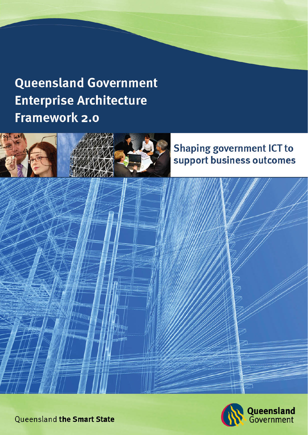# **Queensland Government Enterprise Architecture Framework 2.0**



## **Shaping government ICT to** support business outcomes



**Queensland the Smart State**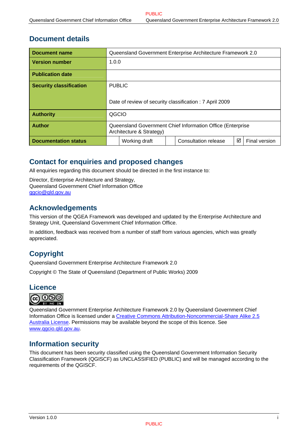## **Document details**

| <b>Document name</b>           |                                                                                        | Queensland Government Enterprise Architecture Framework 2.0 |  |  |  |  |
|--------------------------------|----------------------------------------------------------------------------------------|-------------------------------------------------------------|--|--|--|--|
| <b>Version number</b>          |                                                                                        | 1.0.0                                                       |  |  |  |  |
| <b>Publication date</b>        |                                                                                        |                                                             |  |  |  |  |
| <b>Security classification</b> | <b>PUBLIC</b>                                                                          |                                                             |  |  |  |  |
|                                | Date of review of security classification : 7 April 2009                               |                                                             |  |  |  |  |
| <b>Authority</b>               | QGCIO                                                                                  |                                                             |  |  |  |  |
| <b>Author</b>                  | Queensland Government Chief Information Office (Enterprise<br>Architecture & Strategy) |                                                             |  |  |  |  |
| <b>Documentation status</b>    |                                                                                        | ☑<br>Consultation release<br>Final version<br>Working draft |  |  |  |  |

## **Contact for enquiries and proposed changes**

All enquiries regarding this document should be directed in the first instance to:

Director, Enterprise Architecture and Strategy, Queensland Government Chief Information Office [qgcio@qld.gov.au](mailto:qgcio@qld.gov.au)

## **Acknowledgements**

This version of the QGEA Framework was developed and updated by the Enterprise Architecture and Strategy Unit, Queensland Government Chief Information Office.

In addition, feedback was received from a number of staff from various agencies, which was greatly appreciated.

## **Copyright**

Queensland Government Enterprise Architecture Framework 2.0

Copyright © The State of Queensland (Department of Public Works) 2009



Queensland Government Enterprise Architecture Framework 2.0 by Queensland Government Chief Information Office is licensed under a [Creative Commons Attribution-Noncommercial-Share Alike 2.5](http://creativecommons.org/licenses/by-nc-sa/2.5/au/)  [Australia License.](http://creativecommons.org/licenses/by-nc-sa/2.5/au/) Permissions may be available beyond the scope of this licence. See [www.qgcio.qld.gov.au.](http://www.qgcio.qld.gov.au/)

## **Information security**

This document has been security classified using the Queensland Government Information Security Classification Framework (QGISCF) as UNCLASSIFIED (PUBLIC) and will be managed according to the requirements of the QGISCF.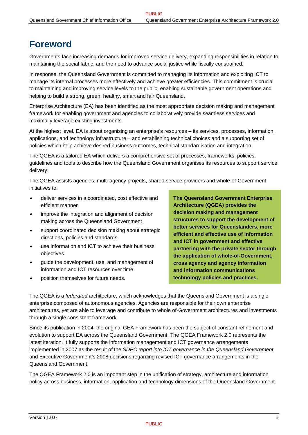## **Foreword**

Governments face increasing demands for improved service delivery, expanding responsibilities in relation to maintaining the social fabric, and the need to advance social justice while fiscally constrained.

In response, the Queensland Government is committed to managing its information and exploiting ICT to manage its internal processes more effectively and achieve greater efficiencies. This commitment is crucial to maintaining and improving service levels to the public, enabling sustainable government operations and helping to build a strong, green, healthy, smart and fair Queensland.

Enterprise Architecture (EA) has been identified as the most appropriate decision making and management framework for enabling government and agencies to collaboratively provide seamless services and maximally leverage existing investments.

At the highest level, EA is about organising an enterprise's resources – its services, processes, information, applications, and technology infrastructure – and establishing technical choices and a supporting set of policies which help achieve desired business outcomes, technical standardisation and integration.

The QGEA is a tailored EA which delivers a comprehensive set of processes, frameworks, policies, guidelines and tools to describe how the Queensland Government organises its resources to support service delivery.

The QGEA assists agencies, multi-agency projects, shared service providers and whole-of-Government initiatives to:

- deliver services in a coordinated, cost effective and efficient manner
- improve the integration and alignment of decision making across the Queensland Government
- support coordinated decision making about strategic directions, policies and standards
- use information and ICT to achieve their business objectives
- guide the development, use, and management of information and ICT resources over time
- position themselves for future needs.

**The Queensland Government Enterprise Architecture (QGEA) provides the decision making and management structures to support the development of better services for Queenslanders, more efficient and effective use of information and ICT in government and effective partnering with the private sector through the application of whole-of-Government, cross agency and agency information and information communications technology policies and practices.** 

The QGEA is a *federated* architecture, which acknowledges that the Queensland Government is a single enterprise composed of autonomous agencies. Agencies are responsible for their own enterprise architectures, yet are able to leverage and contribute to whole of-Government architectures and investments through a single consistent framework.

Since its publication in 2004, the original GEA Framework has been the subject of constant refinement and evolution to support EA across the Queensland Government. The QGEA Framework 2.0 represents the latest iteration. It fully supports the information management and ICT governance arrangements implemented in 2007 as the result of the *SDPC report into ICT governance in the Queensland Government*  and Executive Government's 2008 decisions regarding revised ICT governance arrangements in the Queensland Government.

The QGEA Framework 2.0 is an important step in the unification of strategy, architecture and information policy across business, information, application and technology dimensions of the Queensland Government.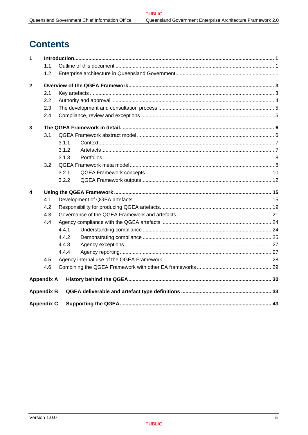## **Contents**

| 1              |                   |       |  |
|----------------|-------------------|-------|--|
|                | 1.1               |       |  |
|                | 1.2               |       |  |
| $\overline{2}$ |                   |       |  |
|                | 2.1               |       |  |
|                | 2.2               |       |  |
|                | 2.3               |       |  |
|                | 2.4               |       |  |
| $\mathbf{3}$   |                   |       |  |
|                | 3.1               |       |  |
|                |                   | 3.1.1 |  |
|                |                   | 3.1.2 |  |
|                |                   | 3.1.3 |  |
|                | 3.2               |       |  |
|                |                   | 3.2.1 |  |
|                |                   | 3.2.2 |  |
| 4              |                   |       |  |
|                | 4.1               |       |  |
|                | 4.2               |       |  |
|                | 4.3               |       |  |
|                | 4.4               |       |  |
|                |                   | 4.4.1 |  |
|                |                   | 4.4.2 |  |
|                |                   | 4.4.3 |  |
|                |                   | 4.4.4 |  |
|                | 4.5               |       |  |
|                | 4.6               |       |  |
|                | <b>Appendix A</b> |       |  |
|                | <b>Appendix B</b> |       |  |
|                | <b>Appendix C</b> |       |  |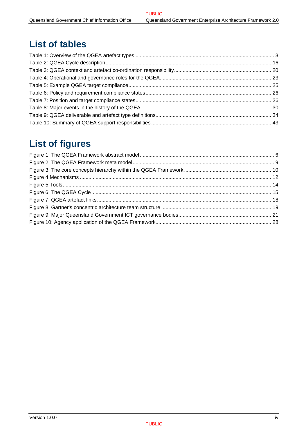## **List of tables**

## **List of figures**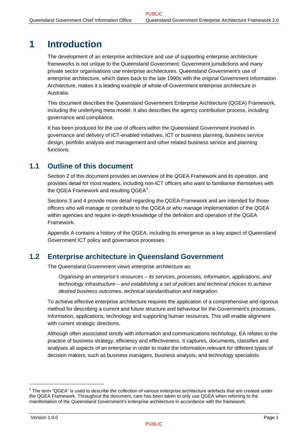## <span id="page-5-0"></span>**1 Introduction**

The development of an enterprise architecture and use of supporting enterprise architecture frameworks is not unique to the Queensland Government. Government jurisdictions and many private sector organisations use enterprise architectures. Queensland Government's use of enterprise architecture, which dates back to the late 1990s with the original Government Information Architecture, makes it a leading example of whole-of-Government enterprise architecture in Australia.

This document describes the Queensland Government Enterprise Architecture (QGEA) Framework, including the underlying meta model. It also describes the agency contribution process, including governance and compliance.

It has been produced for the use of officers within the Queensland Government involved in governance and delivery of ICT-enabled initiatives, ICT or business planning, business service design, portfolio analysis and management and other related business service and planning functions.

## **1.1 Outline of this document**

Section [2](#page-7-1) of this document provides an overview of the QGEA Framework and its operation, and provides detail for most readers, including non-ICT officers who want to familiarise themselves with the QGEA Framework and resulting QGEA $^1$  $^1$ .

Sections [3](#page-10-1) and [4](#page-19-1) provide more detail regarding the QGEA Framework and are intended for those officers who will manage or contribute to the QGEA or who manage implementation of the QGEA within agencies and require in-depth knowledge of the definition and operation of the QGEA Framework.

[Appendix A](#page-34-1) contains a history of the QGEA, including its emergence as a key aspect of Queensland Government ICT policy and governance processes.

## **1.2 Enterprise architecture in Queensland Government**

The Queensland Government views enterprise architecture as:

*Organising an enterprise's resources – its services, processes, information, applications, and technology infrastructure – and establishing a set of policies and technical choices to achieve desired business outcomes, technical standardisation and integration.* 

To achieve effective enterprise architecture requires the application of a comprehensive and rigorous method for describing a current and future structure and behaviour for the Government's processes, information, applications, technology and supporting human resources. This will enable alignment with current strategic directions.

Although often associated strictly with information and communications technology, EA relates to the practice of business strategy, efficiency and effectiveness. It captures, documents, classifies and analyses all aspects of an enterprise in order to make the information relevant for different types of decision makers, such as business managers, business analysts, and technology specialists.

l

<span id="page-5-1"></span><sup>&</sup>lt;sup>1</sup> The term "QGEA" is used to describe the collection of various enterprise architecture artefacts that are created under the QGEA Framework. Throughout the document, care has been taken to only use QGEA when referring to the manifestation of the Queensland Government's enterprise architecture in accordance with the framework.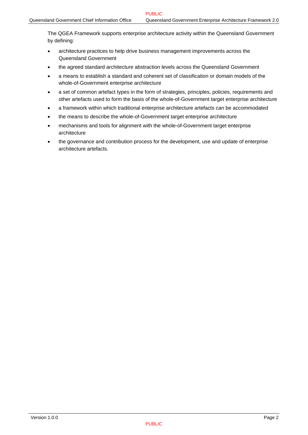The QGEA Framework supports enterprise architecture activity within the Queensland Government by defining:

- architecture practices to help drive business management improvements across the Queensland Government
- the agreed standard architecture abstraction levels across the Queensland Government
- a means to establish a standard and coherent set of classification or domain models of the whole-of-Government enterprise architecture
- a set of common artefact types in the form of strategies, principles, policies, requirements and other artefacts used to form the basis of the whole-of-Government target enterprise architecture
- a framework within which traditional enterprise architecture artefacts can be accommodated
- the means to describe the whole-of-Government target enterprise architecture
- mechanisms and tools for alignment with the whole-of-Government target enterprise architecture
- the governance and contribution process for the development, use and update of enterprise architecture artefacts.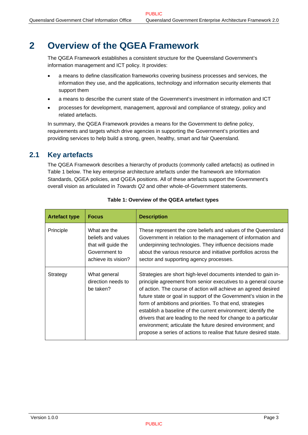## <span id="page-7-1"></span><span id="page-7-0"></span>**2 Overview of the QGEA Framework**

The QGEA Framework establishes a consistent structure for the Queensland Government's information management and ICT policy. It provides:

- a means to define classification frameworks covering business processes and services, the information they use, and the applications, technology and information security elements that support them
- a means to describe the current state of the Government's investment in information and ICT
- processes for development, management, approval and compliance of strategy, policy and related artefacts.

In summary, the QGEA Framework provides a means for the Government to define policy, requirements and targets which drive agencies in supporting the Government's priorities and providing services to help build a strong, green, healthy, smart and fair Queensland.

## **2.1 Key artefacts**

The QGEA Framework describes a hierarchy of products (commonly called artefacts) as outlined in [Table 1](#page-7-2) below. The key enterprise architecture artefacts under the framework are Information Standards, QGEA policies, and QGEA positions. All of these artefacts support the Government's overall vision as articulated in *Towards Q2* and other whole-of-Government statements.

<span id="page-7-2"></span>

| <b>Artefact type</b> | <b>Focus</b>                                                                                      | <b>Description</b>                                                                                                                                                                                                                                                                                                                                                                                                                                                                                                                                                                                           |
|----------------------|---------------------------------------------------------------------------------------------------|--------------------------------------------------------------------------------------------------------------------------------------------------------------------------------------------------------------------------------------------------------------------------------------------------------------------------------------------------------------------------------------------------------------------------------------------------------------------------------------------------------------------------------------------------------------------------------------------------------------|
| Principle            | What are the<br>beliefs and values<br>that will guide the<br>Government to<br>achieve its vision? | These represent the core beliefs and values of the Queensland<br>Government in relation to the management of information and<br>underpinning technologies. They influence decisions made<br>about the various resource and initiative portfolios across the<br>sector and supporting agency processes.                                                                                                                                                                                                                                                                                                       |
| Strategy             | What general<br>direction needs to<br>be taken?                                                   | Strategies are short high-level documents intended to gain in-<br>principle agreement from senior executives to a general course<br>of action. The course of action will achieve an agreed desired<br>future state or goal in support of the Government's vision in the<br>form of ambitions and priorities. To that end, strategies<br>establish a baseline of the current environment; identify the<br>drivers that are leading to the need for change to a particular<br>environment; articulate the future desired environment; and<br>propose a series of actions to realise that future desired state. |

#### **Table 1: Overview of the QGEA artefact types**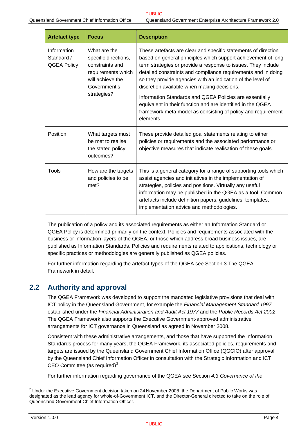<span id="page-8-0"></span>

| <b>Artefact type</b>                            | <b>Focus</b>                                                                                                                     | <b>Description</b>                                                                                                                                                                                                                                                                                                                                                                                                                                                                                                                                                                     |
|-------------------------------------------------|----------------------------------------------------------------------------------------------------------------------------------|----------------------------------------------------------------------------------------------------------------------------------------------------------------------------------------------------------------------------------------------------------------------------------------------------------------------------------------------------------------------------------------------------------------------------------------------------------------------------------------------------------------------------------------------------------------------------------------|
| Information<br>Standard /<br><b>QGEA Policy</b> | What are the<br>specific directions,<br>constraints and<br>requirements which<br>will achieve the<br>Government's<br>strategies? | These artefacts are clear and specific statements of direction<br>based on general principles which support achievement of long<br>term strategies or provide a response to issues. They include<br>detailed constraints and compliance requirements and in doing<br>so they provide agencies with an indication of the level of<br>discretion available when making decisions.<br>Information Standards and QGEA Policies are essentially<br>equivalent in their function and are identified in the QGEA<br>framework meta model as consisting of policy and requirement<br>elements. |
| Position                                        | What targets must<br>be met to realise<br>the stated policy<br>outcomes?                                                         | These provide detailed goal statements relating to either<br>policies or requirements and the associated performance or<br>objective measures that indicate realisation of these goals.                                                                                                                                                                                                                                                                                                                                                                                                |
| Tools                                           | How are the targets<br>and policies to be<br>met?                                                                                | This is a general category for a range of supporting tools which<br>assist agencies and initiatives in the implementation of<br>strategies, policies and positions. Virtually any useful<br>information may be published in the QGEA as a tool. Common<br>artefacts include definition papers, guidelines, templates,<br>implementation advice and methodologies.                                                                                                                                                                                                                      |

The publication of a policy and its associated requirements as either an Information Standard or QGEA Policy is determined primarily on the context. Policies and requirements associated with the business or information layers of the QGEA, or those which address broad business issues, are published as Information Standards. Policies and requirements related to applications, technology or specific practices or methodologies are generally published as QGEA policies.

For further information regarding the artefact types of the QGEA see Section [3](#page-10-1) [The QGEA](#page-10-1)  [Framework in detail](#page-10-1).

## **2.2 Authority and approval**

The QGEA Framework was developed to support the mandated legislative provisions that deal with ICT policy in the Queensland Government, for example the *Financial Management Standard 1997,* established under the *Financial Administration and Audit Act 1977* and the *Public Records Act 2002*. The QGEA Framework also supports the Executive Government-approved administrative arrangements for ICT governance in Queensland as agreed in November 2008.

Consistent with these administrative arrangements, and those that have supported the Information Standards process for many years, the QGEA Framework, its associated policies, requirements and targets are issued by the Queensland Government Chief Information Office (QGCIO) after approval by the Queensland Chief Information Officer in consultation with the Strategic Information and ICT CEO Committee (as required)<sup>[2](#page-8-0)</sup>.

For further information regarding governance of the QGEA see Section *[4.3](#page-25-1) [Governance of the](#page-25-1)* 

 2 Under the Executive Government decision taken on 24 November 2008, the Department of Public Works was designated as the lead agency for whole-of-Government ICT, and the Director-General directed to take on the role of Queensland Government Chief Information Officer.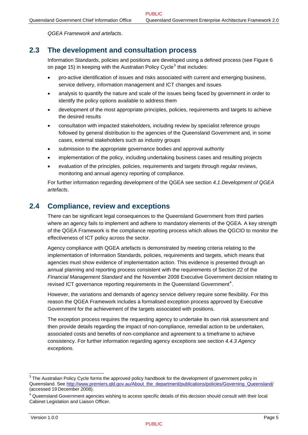*[QGEA Framework and artefacts](#page-25-1)*.

## <span id="page-9-0"></span>**2.3 The development and consultation process**

Information Standards, policies and positions are developed using a defined process (see [Figure 6](#page-19-2) on page [15](#page-19-2)) in keeping with the Australian Policy Cycle<sup>[3](#page-9-0)</sup> that includes:

- pro-active identification of issues and risks associated with current and emerging business, service delivery, information management and ICT changes and issues
- analysis to quantify the nature and scale of the issues being faced by government in order to identify the policy options available to address them
- development of the most appropriate principles, policies, requirements and targets to achieve the desired results
- consultation with impacted stakeholders, including review by specialist reference groups followed by general distribution to the agencies of the Queensland Government and, in some cases, external stakeholders such as industry groups
- submission to the appropriate governance bodies and approval authority
- implementation of the policy, including undertaking business cases and resulting projects
- evaluation of the principles, policies, requirements and targets through regular reviews, monitoring and annual agency reporting of compliance.

For further information regarding development of the QGEA see section *[4.1](#page-19-3) [Development of QGEA](#page-19-3)  [artefacts](#page-19-3)*.

## **2.4 Compliance, review and exceptions**

There can be significant legal consequences to the Queensland Government from third parties where an agency fails to implement and adhere to mandatory elements of the QGEA. A key strength of the QGEA Framework is the compliance reporting process which allows the QGCIO to monitor the effectiveness of ICT policy across the sector.

Agency compliance with QGEA artefacts is demonstrated by meeting criteria relating to the implementation of Information Standards, policies, requirements and targets, which means that agencies must show evidence of implementation action. This evidence is presented through an annual planning and reporting process consistent with the requirements of Section 22 of the *Financial Management Standard* and the November 2008 Executive Government decision relating to revised ICT governance reporting requirements in the Queensland Government<sup>[4](#page-9-0)</sup>.

However, the variations and demands of agency service delivery require some flexibility. For this reason the QGEA Framework includes a formalised exception process approved by Executive Government for the achievement of the targets associated with positions.

The exception process requires the requesting agency to undertake its own risk assessment and then provide details regarding the impact of non-compliance, remedial action to be undertaken, associated costs and benefits of non-compliance and agreement to a timeframe to achieve consistency. For further information regarding agency exceptions see section *[4.4.3](#page-31-1) [Agency](#page-31-1)  [exceptions.](#page-31-1)* 

 3 The Australian Policy Cycle forms the approved policy handbook for the development of government policy in Queensland. See [http://www.premiers.qld.gov.au/About\\_the\\_department/publications/policies/Governing\\_Queensland/](http://www.premiers.qld.gov.au/About_the_department/publications/policies/Governing_Queensland/) (accessed 19 December 2008). 4

<sup>&</sup>lt;sup>4</sup> Queensland Government agencies wishing to access specific details of this decision should consult with their local Cabinet Legislation and Liaison Officer.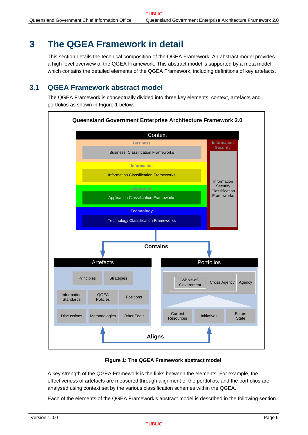## <span id="page-10-1"></span><span id="page-10-0"></span>**3 The QGEA Framework in detail**

This section details the technical composition of the QGEA Framework. An abstract model provides a high-level overview of the QGEA Framework. This abstract model is supported by a meta model which contains the detailed elements of the QGEA Framework, including definitions of key artefacts.

## **3.1 QGEA Framework abstract model**

The QGEA Framework is conceptually divided into three key elements: context, artefacts and portfolios as shown in [Figure 1](#page-10-2) below.



#### **Figure 1: The QGEA Framework abstract model**

<span id="page-10-2"></span>A key strength of the QGEA Framework is the links between the elements. For example, the effectiveness of artefacts are measured through alignment of the portfolios, and the portfolios are analysed using context set by the various classification schemes within the QGEA.

Each of the elements of the QGEA Framework's abstract model is described in the following section.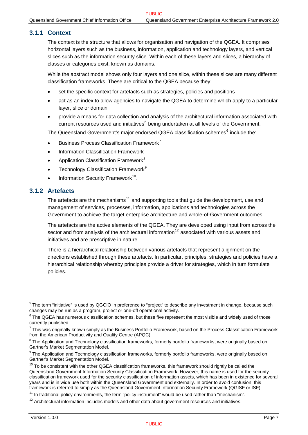#### <span id="page-11-0"></span>**3.1.1 Context**

The context is the structure that allows for organisation and navigation of the QGEA. It comprises horizontal layers such as the business, information, application and technology layers, and vertical slices such as the information security slice. Within each of these layers and slices, a hierarchy of classes or categories exist, known as domains.

While the abstract model shows only four layers and one slice, within these slices are many different classification frameworks. These are critical to the QGEA because they:

- set the specific context for artefacts such as strategies, policies and positions
- act as an index to allow agencies to navigate the QGEA to determine which apply to a particular layer, slice or domain
- provide a means for data collection and analysis of the architectural information associated with current resources used and initiatives<sup>[5](#page-11-0)</sup> being undertaken at all levels of the Government.

The Queensland Government's major endorsed QGEA classification schemes<sup>[6](#page-11-0)</sup> include the:

- Business Process Classification Framework<sup>[7](#page-11-0)</sup>
- Information Classification Framework
- Application Classification Framework<sup>[8](#page-11-0)</sup>
- Technology Classification Framework<sup>[9](#page-11-0)</sup>
- Information Security Framework<sup>[10](#page-11-0)</sup>.

### **3.1.2 Artefacts**

The artefacts are the mechanisms<sup>[11](#page-11-0)</sup> and supporting tools that guide the development, use and management of services, processes, information, applications and technologies across the Government to achieve the target enterprise architecture and whole-of-Government outcomes.

The artefacts are the active elements of the QGEA. They are developed using input from across the sector and from analysis of the architectural information<sup>[12](#page-11-0)</sup> associated with various assets and initiatives and are prescriptive in nature.

There is a hierarchical relationship between various artefacts that represent alignment on the directions established through these artefacts. In particular, principles, strategies and policies have a hierarchical relationship whereby principles provide a driver for strategies, which in turn formulate policies.

 5 The term "initiative" is used by QGCIO in preference to "project" to describe any investment in change, because such changes may be run as a program, project or one-off operational activity.

 $^6$  The QGEA has numerous classification schemes, but these five represent the most visible and widely used of those currently published.

 $^7$  This was originally known simply as the Business Portfolio Framework, based on the Process Classification Framework from the American Productivity and Quality Centre (APQC).

 $8$  The Application and Technology classification frameworks, formerly portfolio frameworks, were originally based on Gartner's Market Segmentation Model.

 $9$  The Application and Technology classification frameworks, formerly portfolio frameworks, were originally based on Gartner's Market Segmentation Model.

 $10$  To be consistent with the other QGEA classification frameworks, this framework should rightly be called the Queensland Government Information Security Classification Framework. However, this name is used for the securityclassification framework used for the security classification of information assets, which has been in existence for several years and is in wide use both within the Queensland Government and externally. In order to avoid confusion, this framework is referred to simply as the Queensland Government Information Security Framework (QGISF or ISF).

 $11$  In traditional policy environments, the term "policy instrument" would be used rather than "mechanism".<br> $12$  Architectural information includes models and other data about government resources and initiatives.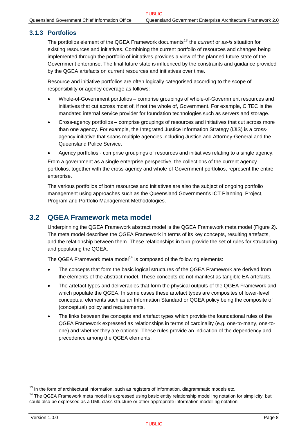### <span id="page-12-1"></span><span id="page-12-0"></span>**3.1.3 Portfolios**

The portfolios element of the QGEA Framework documents<sup>[13](#page-12-0)</sup> the *current* or *as-is* situation for existing resources and initiatives. Combining the current portfolio of resources and changes being implemented through the portfolio of initiatives provides a view of the planned future state of the Government enterprise. The final future state is influenced by the constraints and guidance provided by the QGEA artefacts on current resources and initiatives over time.

Resource and initiative portfolios are often logically categorised according to the scope of responsibility or agency coverage as follows:

- Whole-of-Government portfolios comprise groupings of whole-of-Government resources and initiatives that cut across most of, if not the whole of, Government. For example, CITEC is the mandated internal service provider for foundation technologies such as servers and storage.
- Cross-agency portfolios comprise groupings of resources and initiatives that cut across more than one agency. For example, the Integrated Justice Information Strategy (IJIS) is a crossagency initiative that spans multiple agencies including Justice and Attorney-General and the Queensland Police Service.
- Agency portfolios comprise groupings of resources and initiatives relating to a single agency.

From a government as a single enterprise perspective, the collections of the current agency portfolios, together with the cross-agency and whole-of-Government portfolios, represent the entire enterprise.

The various portfolios of both resources and initiatives are also the subject of ongoing portfolio management using approaches such as the Queensland Government's ICT Planning, Project, Program and Portfolio Management Methodologies.

### **3.2 QGEA Framework meta model**

Underpinning the QGEA Framework abstract model is the QGEA Framework meta model [\(Figure 2\)](#page-13-1). The meta model describes the QGEA Framework in terms of its key concepts, resulting artefacts, and the relationship between them. These relationships in turn provide the set of rules for structuring and populating the QGEA.

The QGEA Framework meta model<sup>[14](#page-12-0)</sup> is composed of the following elements:

- The concepts that form the basic logical structures of the QGEA Framework are derived from the elements of the abstract model. These concepts do not manifest as tangible EA artefacts.
- The artefact types and deliverables that form the physical outputs of the QGEA Framework and which populate the QGEA. In some cases these artefact types are composites of lower-level conceptual elements such as an Information Standard or QGEA policy being the composite of (conceptual) policy and requirements.
- The links between the concepts and artefact types which provide the foundational rules of the QGEA Framework expressed as relationships in terms of cardinality (e.g. one-to-many, one-toone) and whether they are optional. These rules provide an indication of the dependency and precedence among the QGEA elements.

<sup>&</sup>lt;sup>13</sup> In the form of architectural information, such as registers of information, diagrammatic models etc.

<sup>&</sup>lt;sup>14</sup> The QGEA Framework meta model is expressed using basic entity relationship modelling notation for simplicity, but could also be expressed as a UML class structure or other appropriate information modelling notation.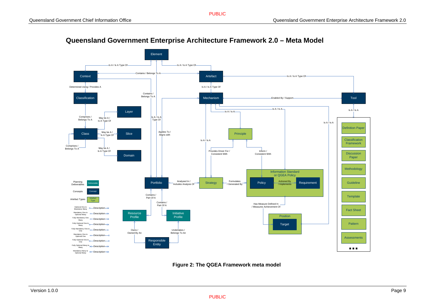

### **Queensland Government Enterprise Architecture Framework 2.0 – Meta Model**

<span id="page-13-1"></span><span id="page-13-0"></span>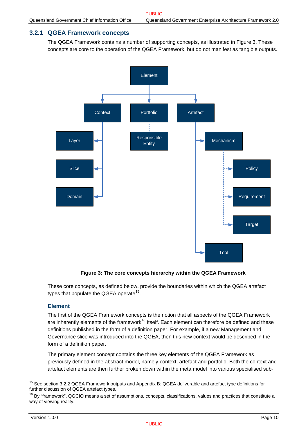### <span id="page-14-0"></span>**3.2.1 QGEA Framework concepts**

The QGEA Framework contains a number of supporting concepts, as illustrated in [Figure 3.](#page-14-1) These concepts are core to the operation of the QGEA Framework, but do not manifest as tangible outputs.



**Figure 3: The core concepts hierarchy within the QGEA Framework** 

<span id="page-14-1"></span>These core concepts, as defined below, provide the boundaries within which the QGEA artefact types that populate the QGEA operate $15$ .

#### **Element**

The first of the QGEA Framework concepts is the notion that all aspects of the QGEA Framework are inherently elements of the framework<sup>[16](#page-14-0)</sup> itself. Each element can therefore be defined and these definitions published in the form of a definition paper. For example, if a new Management and Governance slice was introduced into the QGEA, then this new context would be described in the form of a definition paper.

The primary element concept contains the three key elements of the QGEA Framework as previously defined in the abstract model, namely context, artefact and portfolio. Both the context and artefact elements are then further broken down within the meta model into various specialised sub-

l <sup>15</sup> See section 3.2.2 QGEA Framework outputs and Appendix B: QGEA deliverable and artefact type definitions for further discussion of QGEA artefact types.

 $16$  By "framework", QGCIO means a set of assumptions, concepts, classifications, values and practices that constitute a way of viewing reality.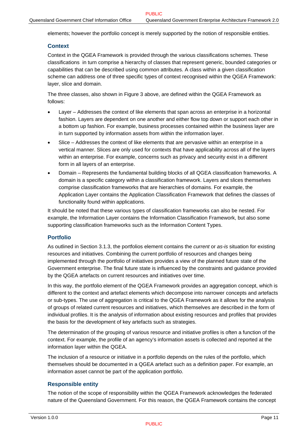elements; however the portfolio concept is merely supported by the notion of responsible entities.

#### **Context**

Context in the QGEA Framework is provided through the various classifications schemes. These classifications in turn comprise a hierarchy of classes that represent generic, bounded categories or capabilities that can be described using common attributes. A class within a given classification scheme can address one of three specific types of context recognised within the QGEA Framework: layer, slice and domain.

The three classes, also shown in [Figure 3](#page-14-1) above, are defined within the QGEA Framework as follows:

- Layer Addresses the context of like elements that span across an enterprise in a horizontal fashion. Layers are dependent on one another and either flow top down or support each other in a bottom up fashion. For example, business processes contained within the business layer are in turn supported by information assets from within the information layer.
- Slice Addresses the context of like elements that are pervasive within an enterprise in a vertical manner. Slices are only used for contexts that have applicability across all of the layers within an enterprise. For example, concerns such as privacy and security exist in a different form in all layers of an enterprise.
- Domain Represents the fundamental building blocks of all QGEA classification frameworks. A domain is a specific category within a classification framework. Layers and slices themselves comprise classification frameworks that are hierarchies of domains. For example, the Application Layer contains the Application Classification Framework that defines the classes of functionality found within applications.

It should be noted that these various types of classification frameworks can also be nested. For example, the Information Layer contains the Information Classification Framework, but also some supporting classification frameworks such as the Information Content Types.

#### **Portfolio**

As outlined in Section [3.1.3](#page-12-1), the portfolios element contains the *current* or *as-is* situation for existing resources and initiatives. Combining the current portfolio of resources and changes being implemented through the portfolio of initiatives provides a view of the planned future state of the Government enterprise. The final future state is influenced by the constraints and guidance provided by the QGEA artefacts on current resources and initiatives over time.

In this way, the portfolio element of the QGEA Framework provides an aggregation concept, which is different to the context and artefact elements which decompose into narrower concepts and artefacts or sub-types. The use of aggregation is critical to the QGEA Framework as it allows for the analysis of groups of related current resources and initiatives, which themselves are described in the form of individual profiles. It is the analysis of information about existing resources and profiles that provides the basis for the development of key artefacts such as strategies.

The determination of the grouping of various resource and initiative profiles is often a function of the context. For example, the profile of an agency's information assets is collected and reported at the information layer within the QGEA.

The inclusion of a resource or initiative in a portfolio depends on the rules of the portfolio, which themselves should be documented in a QGEA artefact such as a definition paper. For example, an information asset cannot be part of the application portfolio.

#### **Responsible entity**

The notion of the scope of responsibility within the QGEA Framework acknowledges the federated nature of the Queensland Government. For this reason, the QGEA Framework contains the concept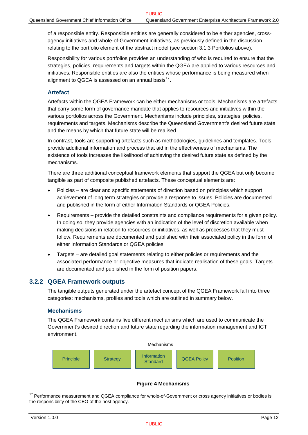<span id="page-16-0"></span>of a responsible entity. Responsible entities are generally considered to be either agencies, crossagency initiatives and whole-of-Government initiatives, as previously defined in the discussion relating to the portfolio element of the abstract model (see section [3.1.3](#page-12-1) [Portfolios](#page-12-1) above).

Responsibility for various portfolios provides an understanding of who is required to ensure that the strategies, policies, requirements and targets within the QGEA are applied to various resources and initiatives. Responsible entities are also the entities whose performance is being measured when alignment to QGEA is assessed on an annual basis $^{17}$  $^{17}$  $^{17}$ .

#### **Artefact**

Artefacts within the QGEA Framework can be either mechanisms or tools. Mechanisms are artefacts that carry some form of governance mandate that applies to resources and initiatives within the various portfolios across the Government. Mechanisms include principles, strategies, policies, requirements and targets. Mechanisms describe the Queensland Government's desired future state and the means by which that future state will be realised.

In contrast, tools are supporting artefacts such as methodologies, guidelines and templates. Tools provide additional information and process that aid in the effectiveness of mechanisms. The existence of tools increases the likelihood of achieving the desired future state as defined by the mechanisms.

There are three additional conceptual framework elements that support the QGEA but only become tangible as part of composite published artefacts. These conceptual elements are:

- Policies are clear and specific statements of direction based on principles which support achievement of long term strategies or provide a response to issues. Policies are documented and published in the form of either Information Standards or QGEA Policies.
- Requirements provide the detailed constraints and compliance requirements for a given policy. In doing so, they provide agencies with an indication of the level of discretion available when making decisions in relation to resources or initiatives, as well as processes that they must follow. Requirements are documented and published with their associated policy in the form of either Information Standards or QGEA policies.
- Targets are detailed goal statements relating to either policies or requirements and the associated performance or objective measures that indicate realisation of these goals. Targets are documented and published in the form of position papers.

#### **3.2.2 QGEA Framework outputs**

The tangible outputs generated under the artefact concept of the QGEA Framework fall into three categories: mechanisms, profiles and tools which are outlined in summary below.

#### **Mechanisms**

The QGEA Framework contains five different mechanisms which are used to communicate the Government's desired direction and future state regarding the information management and ICT environment.



#### **Figure 4 Mechanisms**

l  $17$  Performance measurement and QGEA compliance for whole-of-Government or cross agency initiatives or bodies is the responsibility of the CEO of the host agency.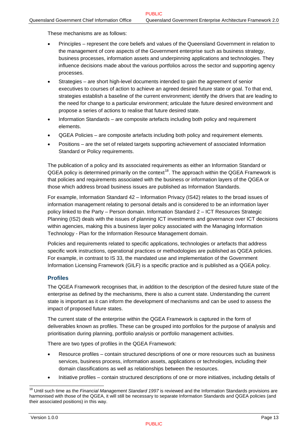<span id="page-17-0"></span>These mechanisms are as follows:

- Principles represent the core beliefs and values of the Queensland Government in relation to the management of core aspects of the Government enterprise such as business strategy, business processes, information assets and underpinning applications and technologies. They influence decisions made about the various portfolios across the sector and supporting agency processes.
- Strategies are short high-level documents intended to gain the agreement of senior executives to courses of action to achieve an agreed desired future state or goal. To that end, strategies establish a baseline of the current environment; identify the drivers that are leading to the need for change to a particular environment; articulate the future desired environment and propose a series of actions to realise that future desired state.
- Information Standards are composite artefacts including both policy and requirement elements.
- QGEA Policies are composite artefacts including both policy and requirement elements.
- Positions are the set of related targets supporting achievement of associated Information Standard or Policy requirements.

The publication of a policy and its associated requirements as either an Information Standard or QGEA policy is determined primarily on the context<sup>[18](#page-17-0)</sup>. The approach within the QGEA Framework is that policies and requirements associated with the business or information layers of the QGEA or those which address broad business issues are published as Information Standards.

For example, Information Standard 42 – Information Privacy (IS42) relates to the broad issues of information management relating to personal details and is considered to be an information layer policy linked to the Party – Person domain. Information Standard 2 – ICT Resources Strategic Planning (IS2) deals with the issues of planning ICT investments and governance over ICT decisions within agencies, making this a business layer policy associated with the Managing Information Technology - Plan for the Information Resource Management domain.

Policies and requirements related to specific applications, technologies or artefacts that address specific work instructions, operational practices or methodologies are published as QGEA policies. For example, in contrast to IS 33, the mandated use and implementation of the Government Information Licensing Framework (GILF) is a specific practice and is published as a QGEA policy.

#### **Profiles**

The QGEA Framework recognises that, in addition to the description of the desired future state of the enterprise as defined by the mechanisms, there is also a current state. Understanding the current state is important as it can inform the development of mechanisms and can be used to assess the impact of proposed future states.

The current state of the enterprise within the QGEA Framework is captured in the form of deliverables known as profiles. These can be grouped into portfolios for the purpose of analysis and prioritisation during planning, portfolio analysis or portfolio management activities.

There are two types of profiles in the QGEA Framework:

- Resource profiles contain structured descriptions of one or more resources such as business services, business process, information assets, applications or technologies, including their domain classifications as well as relationships between the resources.
- Initiative profiles contain structured descriptions of one or more initiatives, including details of

l

<sup>&</sup>lt;sup>18</sup> Until such time as the *Financial Management Standard 1997* is reviewed and the Information Standards provisions are harmonised with those of the QGEA, it will still be necessary to separate Information Standards and QGEA policies (and their associated positions) in this way.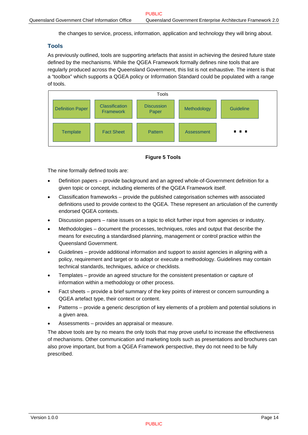the changes to service, process, information, application and technology they will bring about.

#### <span id="page-18-0"></span>**Tools**

As previously outlined, tools are supporting artefacts that assist in achieving the desired future state defined by the mechanisms. While the QGEA Framework formally defines nine tools that are regularly produced across the Queensland Government, this list is not exhaustive. The intent is that a "toolbox" which supports a QGEA policy or Information Standard could be populated with a range of tools.





The nine formally defined tools are:

- Definition papers provide background and an agreed whole-of-Government definition for a given topic or concept, including elements of the QGEA Framework itself.
- Classification frameworks provide the published categorisation schemes with associated definitions used to provide context to the QGEA. These represent an articulation of the currently endorsed QGEA contexts.
- Discussion papers raise issues on a topic to elicit further input from agencies or industry.
- Methodologies document the processes, techniques, roles and output that describe the means for executing a standardised planning, management or control practice within the Queensland Government.
- Guidelines provide additional information and support to assist agencies in aligning with a policy, requirement and target or to adopt or execute a methodology. Guidelines may contain technical standards, techniques, advice or checklists.
- Templates provide an agreed structure for the consistent presentation or capture of information within a methodology or other process.
- Fact sheets provide a brief summary of the key points of interest or concern surrounding a QGEA artefact type, their context or content.
- Patterns provide a generic description of key elements of a problem and potential solutions in a given area.
- Assessments provides an appraisal or measure.

The above tools are by no means the only tools that may prove useful to increase the effectiveness of mechanisms. Other communication and marketing tools such as presentations and brochures can also prove important, but from a QGEA Framework perspective, they do not need to be fully prescribed.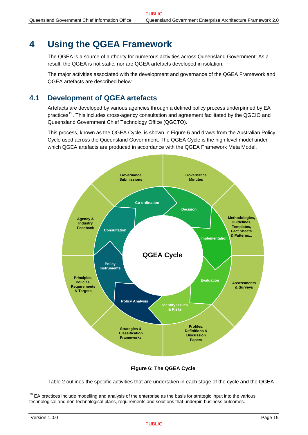## <span id="page-19-1"></span><span id="page-19-0"></span>**4 Using the QGEA Framework**

The QGEA is a source of authority for numerous activities across Queensland Government. As a result, the QGEA is not static, nor are QGEA artefacts developed in isolation.

The major activities associated with the development and governance of the QGEA Framework and QGEA artefacts are described below.

## <span id="page-19-3"></span>**4.1 Development of QGEA artefacts**

Artefacts are developed by various agencies through a defined policy process underpinned by EA practices<sup>[19](#page-19-0)</sup>. This includes cross-agency consultation and agreement facilitated by the QGCIO and Queensland Government Chief Technology Office (QGCTO).

This process, known as the QGEA Cycle, is shown in [Figure 6](#page-19-2) and draws from the Australian Policy Cycle used across the Queensland Government. The QGEA Cycle is the high level model under which QGEA artefacts are produced in accordance with the QGEA Framework Meta Model.



**Figure 6: The QGEA Cycle** 

[Table 2](#page-20-1) outlines the specific activities that are undertaken in each stage of the cycle and the QGEA

<span id="page-19-2"></span>l

<sup>&</sup>lt;sup>19</sup> EA practices include modelling and analysis of the enterprise as the basis for strategic input into the various technological and non-technological plans, requirements and solutions that underpin business outcomes.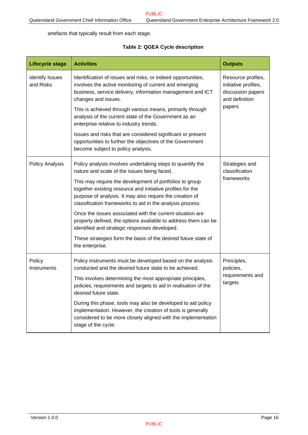<span id="page-20-0"></span>artefacts that typically result from each stage.

#### **Table 2: QGEA Cycle description**

<span id="page-20-1"></span>

| Lifecycle stage                     | <b>Activities</b>                                                                                                                                                                                                                                                                                                                                                                                                                           | <b>Outputs</b>                                                                              |  |
|-------------------------------------|---------------------------------------------------------------------------------------------------------------------------------------------------------------------------------------------------------------------------------------------------------------------------------------------------------------------------------------------------------------------------------------------------------------------------------------------|---------------------------------------------------------------------------------------------|--|
| <b>Identify Issues</b><br>and Risks | Identification of issues and risks, or indeed opportunities,<br>involves the active monitoring of current and emerging<br>business, service delivery, information management and ICT<br>changes and issues.<br>This is achieved through various means, primarily through<br>analysis of the current state of the Government as an<br>enterprise relative to industry trends.<br>Issues and risks that are considered significant or present | Resource profiles,<br>initiative profiles,<br>discussion papers<br>and definition<br>papers |  |
|                                     | opportunities to further the objectives of the Government<br>become subject to policy analysis.                                                                                                                                                                                                                                                                                                                                             |                                                                                             |  |
| <b>Policy Analysis</b>              | Policy analysis involves undertaking steps to quantify the<br>nature and scale of the issues being faced.                                                                                                                                                                                                                                                                                                                                   | Strategies and<br>classification                                                            |  |
|                                     | This may require the development of portfolios to group<br>together existing resource and initiative profiles for the<br>purpose of analysis. It may also require the creation of<br>classification frameworks to aid in the analysis process.                                                                                                                                                                                              | frameworks                                                                                  |  |
|                                     | Once the issues associated with the current situation are<br>properly defined, the options available to address them can be<br>identified and strategic responses developed.                                                                                                                                                                                                                                                                |                                                                                             |  |
|                                     | These strategies form the basis of the desired future state of<br>the enterprise.                                                                                                                                                                                                                                                                                                                                                           |                                                                                             |  |
| Policy<br>Instruments               | Policy instruments must be developed based on the analysis<br>conducted and the desired future state to be achieved.                                                                                                                                                                                                                                                                                                                        | Principles,<br>policies,                                                                    |  |
|                                     | This involves determining the most appropriate principles,<br>policies, requirements and targets to aid in realisation of the<br>desired future state.                                                                                                                                                                                                                                                                                      | requirements and<br>targets                                                                 |  |
|                                     | During this phase, tools may also be developed to aid policy<br>implementation. However, the creation of tools is generally<br>considered to be more closely aligned with the implementation<br>stage of the cycle.                                                                                                                                                                                                                         |                                                                                             |  |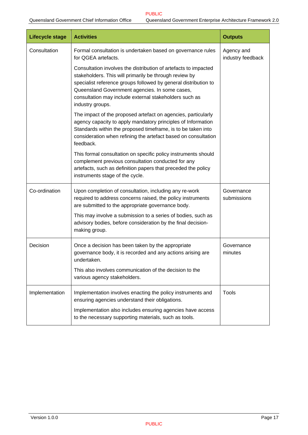| Lifecycle stage | <b>Activities</b>                                                                                                                                                                                                                                                                                                            | <b>Outputs</b>                  |
|-----------------|------------------------------------------------------------------------------------------------------------------------------------------------------------------------------------------------------------------------------------------------------------------------------------------------------------------------------|---------------------------------|
| Consultation    | Formal consultation is undertaken based on governance rules<br>for QGEA artefacts.                                                                                                                                                                                                                                           | Agency and<br>industry feedback |
|                 | Consultation involves the distribution of artefacts to impacted<br>stakeholders. This will primarily be through review by<br>specialist reference groups followed by general distribution to<br>Queensland Government agencies. In some cases,<br>consultation may include external stakeholders such as<br>industry groups. |                                 |
|                 | The impact of the proposed artefact on agencies, particularly<br>agency capacity to apply mandatory principles of Information<br>Standards within the proposed timeframe, is to be taken into<br>consideration when refining the artefact based on consultation<br>feedback.                                                 |                                 |
|                 | This formal consultation on specific policy instruments should<br>complement previous consultation conducted for any<br>artefacts, such as definition papers that preceded the policy<br>instruments stage of the cycle.                                                                                                     |                                 |
| Co-ordination   | Upon completion of consultation, including any re-work<br>required to address concerns raised, the policy instruments<br>are submitted to the appropriate governance body.                                                                                                                                                   | Governance<br>submissions       |
|                 | This may involve a submission to a series of bodies, such as<br>advisory bodies, before consideration by the final decision-<br>making group.                                                                                                                                                                                |                                 |
| Decision        | Once a decision has been taken by the appropriate<br>governance body, it is recorded and any actions arising are<br>undertaken.                                                                                                                                                                                              | Governance<br>minutes           |
|                 | This also involves communication of the decision to the<br>various agency stakeholders.                                                                                                                                                                                                                                      |                                 |
| Implementation  | Implementation involves enacting the policy instruments and<br>ensuring agencies understand their obligations.                                                                                                                                                                                                               | <b>Tools</b>                    |
|                 | Implementation also includes ensuring agencies have access<br>to the necessary supporting materials, such as tools.                                                                                                                                                                                                          |                                 |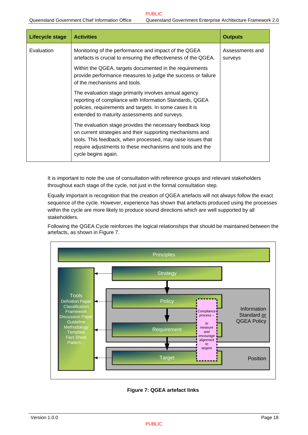<span id="page-22-0"></span>

| Lifecycle stage | <b>Activities</b>                                                                                                                                                                                                                                                         | <b>Outputs</b>             |
|-----------------|---------------------------------------------------------------------------------------------------------------------------------------------------------------------------------------------------------------------------------------------------------------------------|----------------------------|
| Evaluation      | Monitoring of the performance and impact of the QGEA<br>artefacts is crucial to ensuring the effectiveness of the QGEA.                                                                                                                                                   | Assessments and<br>surveys |
|                 | Within the QGEA, targets documented in the requirements<br>provide performance measures to judge the success or failure<br>of the mechanisms and tools.                                                                                                                   |                            |
|                 | The evaluation stage primarily involves annual agency<br>reporting of compliance with Information Standards, QGEA<br>policies, requirements and targets. In some cases it is<br>extended to maturity assessments and surveys.                                             |                            |
|                 | The evaluation stage provides the necessary feedback loop<br>on current strategies and their supporting mechanisms and<br>tools. This feedback, when processed, may raise issues that<br>require adjustments to these mechanisms and tools and the<br>cycle begins again. |                            |

It is important to note the use of consultation with reference groups and relevant stakeholders throughout each stage of the cycle, not just in the formal consultation step.

Equally important is recognition that the creation of QGEA artefacts will not always follow the exact sequence of the cycle. However, experience has shown that artefacts produced using the processes within the cycle are more likely to produce sound directions which are well supported by all stakeholders.

Following the QGEA Cycle reinforces the logical relationships that should be maintained between the artefacts, as shown in [Figure 7](#page-22-1).



<span id="page-22-1"></span>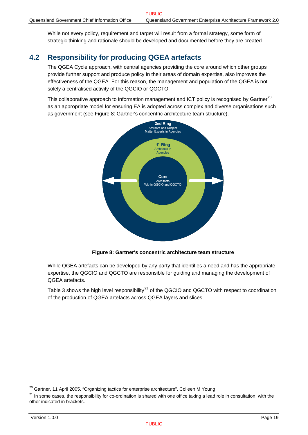<span id="page-23-0"></span>While not every policy, requirement and target will result from a formal strategy, some form of strategic thinking and rationale should be developed and documented before they are created.

## **4.2 Responsibility for producing QGEA artefacts**

The QGEA Cycle approach, with central agencies providing the core around which other groups provide further support and produce policy in their areas of domain expertise, also improves the effectiveness of the QGEA. For this reason, the management and population of the QGEA is not solely a centralised activity of the QGCIO or QGCTO.

This collaborative approach to information management and ICT policy is recognised by Gartner<sup>[20](#page-23-0)</sup> as an appropriate model for ensuring EA is adopted across complex and diverse organisations such as government (see [Figure 8: Gartner's concentric architecture team structure](#page-23-1)).



**Figure 8: Gartner's concentric architecture team structure** 

<span id="page-23-1"></span>While QGEA artefacts can be developed by any party that identifies a need and has the appropriate expertise, the QGCIO and QGCTO are responsible for guiding and managing the development of QGEA artefacts.

[Table 3 shows the high level responsibility](#page-24-1) $^{21}$  of the QGCIO and QGCTO with respect to coordination [of the production of QGEA artefacts across QGEA layers and slices.](#page-23-0) 

<sup>&</sup>lt;sup>20</sup> Gartner, 11 April 2005, "Organizing tactics for enterprise architecture", Colleen M Young

 $^{21}$  In some cases, the responsibility for co-ordination is shared with one office taking a lead role in consultation, with the other indicated in brackets.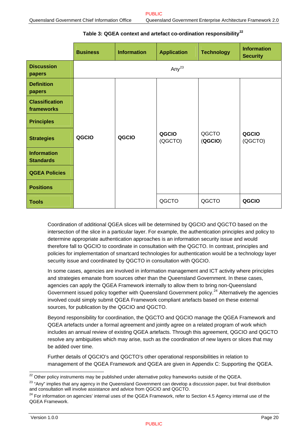#### **Table 3: QGEA context and artefact co-ordination responsibility[22](#page-24-0)**

<span id="page-24-1"></span><span id="page-24-0"></span>

|                                        | <b>Business</b> | <b>Information</b> | <b>Application</b> | <b>Technology</b> | <b>Information</b><br><b>Security</b> |
|----------------------------------------|-----------------|--------------------|--------------------|-------------------|---------------------------------------|
| <b>Discussion</b><br>papers            |                 |                    | Any $^{23}$        |                   |                                       |
| <b>Definition</b><br>papers            |                 |                    |                    |                   |                                       |
| <b>Classification</b><br>frameworks    |                 |                    |                    |                   |                                       |
| <b>Principles</b>                      |                 |                    |                    |                   |                                       |
| <b>Strategies</b>                      | QGCIO           | QGCIO              | QGCIO<br>(QGCTO)   | QGCTO<br>(QGCIO)  | QGCIO<br>(QGCTO)                      |
| <b>Information</b><br><b>Standards</b> |                 |                    |                    |                   |                                       |
| <b>QGEA Policies</b>                   |                 |                    |                    |                   |                                       |
| <b>Positions</b>                       |                 |                    |                    |                   |                                       |
| <b>Tools</b>                           |                 |                    | QGCTO              | QGCTO             | QGCIO                                 |

Coordination of additional QGEA slices will be determined by QGCIO and QGCTO based on the intersection of the slice in a particular layer. For example, the authentication principles and policy to determine appropriate authentication approaches is an information security issue and would therefore fall to QGCIO to coordinate in consultation with the QGCTO. In contrast, principles and policies for implementation of smartcard technologies for authentication would be a technology layer security issue and coordinated by QGCTO in consultation with QGCIO.

In some cases, agencies are involved in information management and ICT activity where principles and strategies emanate from sources other than the Queensland Government. In these cases, agencies can apply the QGEA Framework internally to allow them to bring non-Queensland Government issued policy together with Queensland Government policy.<sup>[24](#page-24-0)</sup> Alternatively the agencies involved could simply submit QGEA Framework compliant artefacts based on these external sources, for publication by the QGCIO and QGCTO.

Beyond responsibility for coordination, the QGCTO and QGCIO manage the QGEA Framework and QGEA artefacts under a formal agreement and jointly agree on a related program of work which includes an annual review of existing QGEA artefacts. Through this agreement, QGCIO and QGCTO resolve any ambiguities which may arise, such as the coordination of new layers or slices that may be added over time.

Further details of QGCIO's and QGCTO's other operational responsibilities in relation to management of the QGEA Framework and QGEA are given in [Appendix C: Supporting the QGEA](#page-47-1).

<sup>&</sup>lt;sup>22</sup> Other policy instruments may be published under alternative policy frameworks outside of the QGEA.

<sup>&</sup>lt;sup>23</sup> "Any" implies that any agency in the Queensland Government can develop a discussion paper, but final distribution and consultation will involve assistance and advice from QGCIO and QGCTO.

 $^{24}$  For information on agencies' internal uses of the QGEA Framework, refer to Section 4.5 Agency internal use of the QGEA Framework.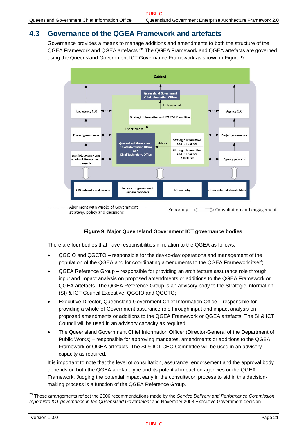## <span id="page-25-1"></span><span id="page-25-0"></span>**4.3 Governance of the QGEA Framework and artefacts**

Governance provides a means to manage additions and amendments to both the structure of the QGEA Framework and QGEA artefacts.<sup>[25](#page-25-0)</sup> The QGEA Framework and QGEA artefacts are governed using the Queensland Government ICT Governance Framework as shown in [Figure 9](#page-25-2).



#### **Figure 9: Major Queensland Government ICT governance bodies**

<span id="page-25-2"></span>There are four bodies that have responsibilities in relation to the QGEA as follows:

- QGCIO and QGCTO responsible for the day-to-day operations and management of the population of the QGEA and for coordinating amendments to the QGEA Framework itself;
- QGEA Reference Group responsible for providing an architecture assurance role through input and impact analysis on proposed amendments or additions to the QGEA Framework or QGEA artefacts. The QGEA Reference Group is an advisory body to the Strategic Information (SI) & ICT Council Executive, QGCIO and QGCTO;
- Executive Director, Queensland Government Chief Information Office responsible for providing a whole-of-Government assurance role through input and impact analysis on proposed amendments or additions to the QGEA Framework or QGEA artefacts. The SI & ICT Council will be used in an advisory capacity as required.
- The Queensland Government Chief Information Officer (Director-General of the Department of Public Works) – responsible for approving mandates, amendments or additions to the QGEA Framework or QGEA artefacts. The SI & ICT CEO Committee will be used in an advisory capacity as required.

It is important to note that the level of consultation, assurance, endorsement and the approval body depends on both the QGEA artefact type and its potential impact on agencies or the QGEA Framework. Judging the potential impact early in the consultation process to aid in this decisionmaking process is a function of the QGEA Reference Group.

l

<sup>25</sup> These arrangements reflect the 2006 recommendations made by the *Service Delivery and Performance Commission report into ICT governance in the Queensland Government* and November 2008 Executive Government decision.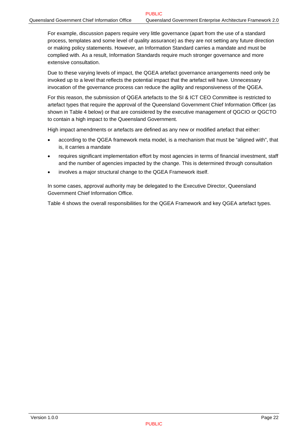For example, discussion papers require very little governance (apart from the use of a standard process, templates and some level of quality assurance) as they are not setting any future direction or making policy statements. However, an Information Standard carries a mandate and must be complied with. As a result, Information Standards require much stronger governance and more extensive consultation.

Due to these varying levels of impact, the QGEA artefact governance arrangements need only be invoked up to a level that reflects the potential impact that the artefact will have. Unnecessary invocation of the governance process can reduce the agility and responsiveness of the QGEA.

For this reason, the submission of QGEA artefacts to the SI & ICT CEO Committee is restricted to artefact types that require the approval of the Queensland Government Chief Information Officer (as shown in [Table 4](#page-27-1) below) or that are considered by the executive management of QGCIO or QGCTO to contain a high impact to the Queensland Government.

High impact amendments or artefacts are defined as any new or modified artefact that either:

- according to the QGEA framework meta model, is a mechanism that must be "aligned with", that is, it carries a mandate
- requires significant implementation effort by most agencies in terms of financial investment, staff and the number of agencies impacted by the change. This is determined through consultation
- involves a major structural change to the QGEA Framework itself.

In some cases, approval authority may be delegated to the Executive Director, Queensland Government Chief Information Office.

[Table 4](#page-27-1) shows the overall responsibilities for the QGEA Framework and key QGEA artefact types.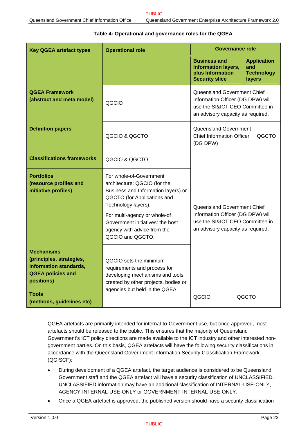<span id="page-27-1"></span><span id="page-27-0"></span>

| <b>Key QGEA artefact types</b>                                                                                           | <b>Governance role</b><br><b>Operational role</b>                                                                                                    |                                                                                                                                          |               |                                         |
|--------------------------------------------------------------------------------------------------------------------------|------------------------------------------------------------------------------------------------------------------------------------------------------|------------------------------------------------------------------------------------------------------------------------------------------|---------------|-----------------------------------------|
|                                                                                                                          |                                                                                                                                                      | <b>Business and</b><br><b>Information layers,</b><br>plus Information<br><b>Security slice</b>                                           | and<br>layers | <b>Application</b><br><b>Technology</b> |
| <b>QGEA Framework</b><br>(abstract and meta model)                                                                       | QGCIO                                                                                                                                                | Queensland Government Chief<br>Information Officer (DG DPW) will<br>use the SI&ICT CEO Committee in<br>an advisory capacity as required. |               |                                         |
| <b>Definition papers</b>                                                                                                 | QGCIO & QGCTO                                                                                                                                        | Queensland Government<br><b>Chief Information Officer</b><br>QGCTO<br>(DG DPW)                                                           |               |                                         |
| <b>Classifications frameworks</b>                                                                                        | QGCIO & QGCTO                                                                                                                                        | Queensland Government Chief<br>Information Officer (DG DPW) will<br>use the SI&ICT CEO Committee in<br>an advisory capacity as required. |               |                                         |
| <b>Portfolios</b><br>(resource profiles and<br>initiative profiles)                                                      | For whole-of-Government<br>architecture: QGCIO (for the<br>Business and Information layers) or<br>QGCTO (for Applications and<br>Technology layers). |                                                                                                                                          |               |                                         |
|                                                                                                                          | For multi-agency or whole-of<br>Government initiatives: the host<br>agency with advice from the<br>QGCIO and QGCTO.                                  |                                                                                                                                          |               |                                         |
| <b>Mechanisms</b><br>(principles, strategies,<br><b>Information standards,</b><br><b>QGEA policies and</b><br>positions) | QGCIO sets the minimum<br>requirements and process for<br>developing mechanisms and tools<br>created by other projects, bodies or                    |                                                                                                                                          |               |                                         |
| agencies but held in the QGEA.<br>Tools<br>QGCIO<br>(methods, guidelines etc)                                            |                                                                                                                                                      |                                                                                                                                          | QGCTO         |                                         |

#### **Table 4: Operational and governance roles for the QGEA**

QGEA artefacts are primarily intended for internal-to-Government use, but once approved, most artefacts should be released to the public. This ensures that the majority of Queensland Government's ICT policy directions are made available to the ICT industry and other interested nongovernment parties. On this basis, QGEA artefacts will have the following security classifications in accordance with the Queensland Government Information Security Classification Framework (QGISCF):

- During development of a QGEA artefact, the target audience is considered to be Queensland Government staff and the QGEA artefact will have a security classification of UNCLASSIFIED. UNCLASSIFIED information may have an additional classification of INTERNAL-USE-ONLY, AGENCY-INTERNAL-USE-ONLY or GOVERNMENT-INTERNAL-USE-ONLY.
- Once a QGEA artefact is approved, the published version should have a security classification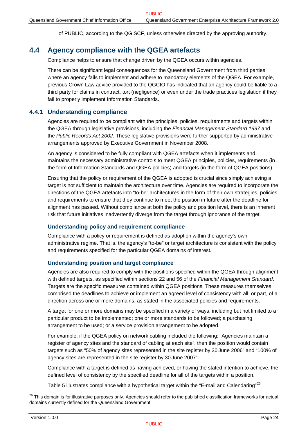of PUBLIC, according to the QGISCF, unless otherwise directed by the approving authority.

## <span id="page-28-0"></span>**4.4 Agency compliance with the QGEA artefacts**

Compliance helps to ensure that change driven by the QGEA occurs within agencies.

There can be significant legal consequences for the Queensland Government from third parties where an agency fails to implement and adhere to mandatory elements of the QGEA. For example, previous Crown Law advice provided to the QGCIO has indicated that an agency could be liable to a third party for claims in contract, tort (negligence) or even under the trade practices legislation if they fail to properly implement Information Standards.

#### **4.4.1 Understanding compliance**

Agencies are required to be compliant with the principles, policies, requirements and targets within the QGEA through legislative provisions, including the *Financial Management Standard 1997* and the *Public Records Act 2002*. These legislative provisions were further supported by administrative arrangements approved by Executive Government in November 2008.

An agency is considered to be fully compliant with QGEA artefacts when it implements and maintains the necessary administrative controls to meet QGEA principles, policies, requirements (in the form of Information Standards and QGEA policies) and targets (in the form of QGEA positions).

Ensuring that the policy or requirement of the QGEA is adopted is crucial since simply achieving a target is not sufficient to maintain the architecture over time. Agencies are required to incorporate the directions of the QGEA artefacts into "to-be" architectures in the form of their own strategies, policies and requirements to ensure that they continue to meet the position in future after the deadline for alignment has passed. Without compliance at both the policy and position level, there is an inherent risk that future initiatives inadvertently diverge from the target through ignorance of the target.

#### **Understanding policy and requirement compliance**

Compliance with a policy or requirement is defined as adoption within the agency's own administrative regime. That is, the agency's "to-be" or target architecture is consistent with the policy and requirements specified for the particular QGEA domains of interest.

#### **Understanding position and target compliance**

Agencies are also required to comply with the positions specified within the QGEA through alignment with defined targets, as specified within sections 22 and 56 of the *Financial Management Standard*. Targets are the specific measures contained within QGEA positions. These measures themselves comprised the deadlines to achieve or implement an agreed level of consistency with all, or part, of a direction across one or more domains, as stated in the associated policies and requirements.

A target for one or more domains may be specified in a variety of ways, including but not limited to a particular product to be implemented; one or more standards to be followed; a purchasing arrangement to be used; or a service provision arrangement to be adopted.

For example, if the QGEA policy on network cabling included the following: "Agencies maintain a register of agency sites and the standard of cabling at each site", then the position would contain targets such as "50% of agency sites represented in the site register by 30 June 2006" and "100% of agency sites are represented in the site register by 30 June 2007".

Compliance with a target is defined as having achieved, or having the stated intention to achieve, the defined level of consistency by the specified deadline for all of the targets within a position.

[Table 5](#page-29-1) illustrates compliance with a hypothetical target within the "E-mail and Calendaring"<sup>[26](#page-28-0)</sup>

l

 $^{26}$  This domain is for illustrative purposes only. Agencies should refer to the published classification frameworks for actual domains currently defined for the Queensland Government.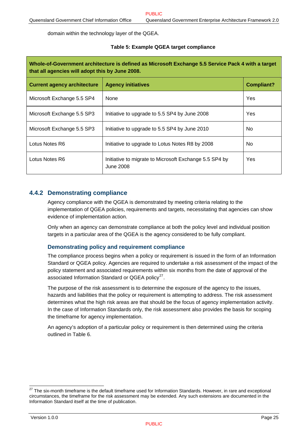<span id="page-29-0"></span>domain within the technology layer of the QGEA.

#### **Table 5: Example QGEA target compliance**

<span id="page-29-1"></span>

| Whole-of-Government architecture is defined as Microsoft Exchange 5.5 Service Pack 4 with a target<br>that all agencies will adopt this by June 2008. |                                                                     |                   |  |  |  |
|-------------------------------------------------------------------------------------------------------------------------------------------------------|---------------------------------------------------------------------|-------------------|--|--|--|
| <b>Current agency architecture</b>                                                                                                                    | <b>Agency initiatives</b>                                           | <b>Compliant?</b> |  |  |  |
| Microsoft Exchange 5.5 SP4                                                                                                                            | <b>None</b>                                                         | Yes               |  |  |  |
| Microsoft Exchange 5.5 SP3                                                                                                                            | Initiative to upgrade to 5.5 SP4 by June 2008                       | Yes               |  |  |  |
| Microsoft Exchange 5.5 SP3                                                                                                                            | Initiative to upgrade to 5.5 SP4 by June 2010                       | No.               |  |  |  |
| Lotus Notes R6                                                                                                                                        | Initiative to upgrade to Lotus Notes R8 by 2008                     | No.               |  |  |  |
| Lotus Notes R6                                                                                                                                        | Initiative to migrate to Microsoft Exchange 5.5 SP4 by<br>June 2008 | Yes               |  |  |  |

#### **4.4.2 Demonstrating compliance**

Agency compliance with the QGEA is demonstrated by meeting criteria relating to the implementation of QGEA policies, requirements and targets, necessitating that agencies can show evidence of implementation action.

Only when an agency can demonstrate compliance at both the policy level and individual position targets in a particular area of the QGEA is the agency considered to be fully compliant.

#### **Demonstrating policy and requirement compliance**

The compliance process begins when a policy or requirement is issued in the form of an Information Standard or QGEA policy. Agencies are required to undertake a risk assessment of the impact of the policy statement and associated requirements within six months from the date of approval of the associated Information Standard or QGEA policy $27$ .

The purpose of the risk assessment is to determine the exposure of the agency to the issues, hazards and liabilities that the policy or requirement is attempting to address. The risk assessment determines what the high risk areas are that should be the focus of agency implementation activity. In the case of Information Standards only, the risk assessment also provides the basis for scoping the timeframe for agency implementation.

An agency's adoption of a particular policy or requirement is then determined using the criteria outlined in [Table 6.](#page-30-1)

l

 $27$  The six-month timeframe is the default timeframe used for Information Standards. However, in rare and exceptional circumstances, the timeframe for the risk assessment may be extended. Any such extensions are documented in the Information Standard itself at the time of publication.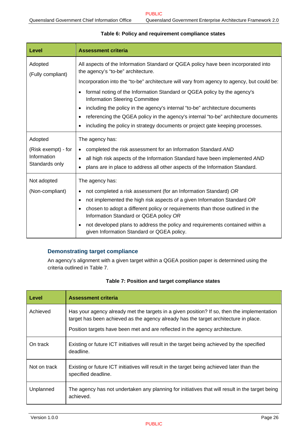<span id="page-30-1"></span><span id="page-30-0"></span>

| Level                        | <b>Assessment criteria</b>                                                                                                               |
|------------------------------|------------------------------------------------------------------------------------------------------------------------------------------|
| Adopted<br>(Fully compliant) | All aspects of the Information Standard or QGEA policy have been incorporated into<br>the agency's "to-be" architecture.                 |
|                              | Incorporation into the "to-be" architecture will vary from agency to agency, but could be:                                               |
|                              | formal noting of the Information Standard or QGEA policy by the agency's<br>$\bullet$<br><b>Information Steering Committee</b>           |
|                              | including the policy in the agency's internal "to-be" architecture documents<br>$\bullet$                                                |
|                              | referencing the QGEA policy in the agency's internal "to-be" architecture documents<br>$\bullet$                                         |
|                              | including the policy in strategy documents or project gate keeping processes.                                                            |
| Adopted                      | The agency has:                                                                                                                          |
| (Risk exempt) - for          | completed the risk assessment for an Information Standard AND<br>$\bullet$                                                               |
| Information                  | all high risk aspects of the Information Standard have been implemented AND<br>$\bullet$                                                 |
| Standards only               | plans are in place to address all other aspects of the Information Standard.                                                             |
| Not adopted                  | The agency has:                                                                                                                          |
| (Non-compliant)              | not completed a risk assessment (for an Information Standard) OR<br>٠                                                                    |
|                              | not implemented the high risk aspects of a given Information Standard OR<br>$\bullet$                                                    |
|                              | chosen to adopt a different policy or requirements than those outlined in the<br>$\bullet$<br>Information Standard or QGEA policy OR     |
|                              | not developed plans to address the policy and requirements contained within a<br>$\bullet$<br>given Information Standard or QGEA policy. |

#### **Table 6: Policy and requirement compliance states**

#### **Demonstrating target compliance**

An agency's alignment with a given target within a QGEA position paper is determined using the criteria outlined in [Table 7.](#page-30-2)

#### **Table 7: Position and target compliance states**

<span id="page-30-2"></span>

| Level        | <b>Assessment criteria</b>                                                                                                                                                                                                                                          |
|--------------|---------------------------------------------------------------------------------------------------------------------------------------------------------------------------------------------------------------------------------------------------------------------|
| Achieved     | Has your agency already met the targets in a given position? If so, then the implementation<br>target has been achieved as the agency already has the target architecture in place.<br>Position targets have been met and are reflected in the agency architecture. |
| On track     | Existing or future ICT initiatives will result in the target being achieved by the specified<br>deadline.                                                                                                                                                           |
| Not on track | Existing or future ICT initiatives will result in the target being achieved later than the<br>specified deadline.                                                                                                                                                   |
| Unplanned    | The agency has not undertaken any planning for initiatives that will result in the target being<br>achieved.                                                                                                                                                        |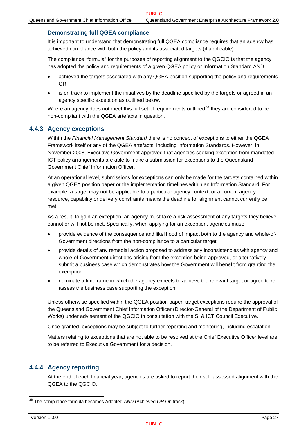#### <span id="page-31-0"></span>**Demonstrating full QGEA compliance**

It is important to understand that demonstrating full QGEA compliance requires that an agency has achieved compliance with both the policy and its associated targets (if applicable).

The compliance "formula" for the purposes of reporting alignment to the QGCIO is that the agency has adopted the policy and requirements of a given QGEA policy or Information Standard AND

- achieved the targets associated with any QGEA position supporting the policy and requirements OR
- is on track to implement the initiatives by the deadline specified by the targets or agreed in an agency specific exception as outlined below.

Where an agency does not meet this full set of requirements outlined<sup>[28](#page-31-0)</sup> they are considered to be non-compliant with the QGEA artefacts in question.

#### <span id="page-31-1"></span>**4.4.3 Agency exceptions**

Within the *Financial Management Standard* there is no concept of exceptions to either the QGEA Framework itself or any of the QGEA artefacts, including Information Standards. However, in November 2008, Executive Government approved that agencies seeking exception from mandated ICT policy arrangements are able to make a submission for exceptions to the Queensland Government Chief Information Officer.

At an operational level, submissions for exceptions can only be made for the targets contained within a given QGEA position paper or the implementation timelines within an Information Standard. For example, a target may not be applicable to a particular agency context, or a current agency resource, capability or delivery constraints means the deadline for alignment cannot currently be met.

As a result, to gain an exception, an agency must take a risk assessment of any targets they believe cannot or will not be met. Specifically, when applying for an exception, agencies must:

- provide evidence of the consequence and likelihood of impact both to the agency and whole-of-Government directions from the non-compliance to a particular target
- provide details of any remedial action proposed to address any inconsistencies with agency and whole-of-Government directions arising from the exception being approved, or alternatively submit a business case which demonstrates how the Government will benefit from granting the exemption
- nominate a timeframe in which the agency expects to achieve the relevant target or agree to reassess the business case supporting the exception.

Unless otherwise specified within the QGEA position paper, target exceptions require the approval of the Queensland Government Chief Information Officer (Director-General of the Department of Public Works) under advisement of the QGCIO in consultation with the SI & ICT Council Executive.

Once granted, exceptions may be subject to further reporting and monitoring, including escalation.

Matters relating to exceptions that are not able to be resolved at the Chief Executive Officer level are to be referred to Executive Government for a decision.

#### **4.4.4 Agency reporting**

At the end of each financial year, agencies are asked to report their self-assessed alignment with the QGEA to the QGCIO.

 $\overline{a}$ 

<sup>28</sup> The compliance formula becomes Adopted *AND* (Achieved *OR* On track).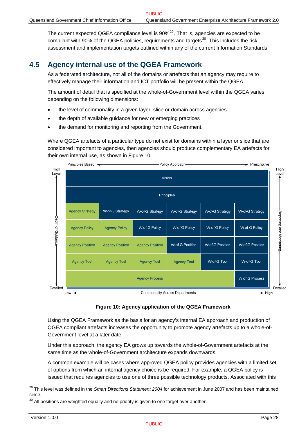<span id="page-32-0"></span>The current expected QGEA compliance level is 90%<sup>[29](#page-32-0)</sup>. That is, agencies are expected to be compliant with 90% of the QGEA policies, requirements and targets<sup>[30](#page-32-0)</sup>. This includes the risk assessment and implementation targets outlined within any of the current Information Standards.

## **4.5 Agency internal use of the QGEA Framework**

As a federated architecture, not all of the domains or artefacts that an agency may require to effectively manage their information and ICT portfolio will be present within the QGEA.

The amount of detail that is specified at the whole-of-Government level within the QGEA varies depending on the following dimensions:

- the level of commonality in a given layer, slice or domain across agencies
- the depth of available guidance for new or emerging practices
- the demand for monitoring and reporting from the Government.

Where QGEA artefacts of a particular type do not exist for domains within a layer or slice that are considered important to agencies, then agencies should produce complementary EA artefacts for their own internal use, as shown in [Figure 10.](#page-32-1)



#### **Figure 10: Agency application of the QGEA Framework**

<span id="page-32-1"></span>Using the QGEA Framework as the basis for an agency's internal EA approach and production of QGEA compliant artefacts increases the opportunity to promote agency artefacts up to a whole-of-Government level at a later date.

Under this approach, the agency EA grows up towards the whole-of-Government artefacts at the same time as the whole-of-Government architecture expands downwards.

A common example will be cases where approved QGEA policy provides agencies with a limited set of options from which an internal agency choice is be required. For example, a QGEA policy is issued that requires agencies to use one of three possible technology products. Associated with this

l 29 This level was defined in the *Smart Directions Statement 2004* for achievement in June 2007 and has been maintained since.

 $30$  All positions are weighted equally and no priority is given to one target over another.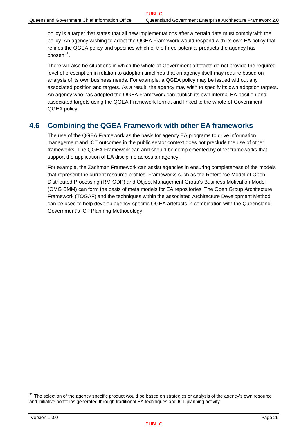<span id="page-33-0"></span>policy is a target that states that all new implementations after a certain date must comply with the policy. An agency wishing to adopt the QGEA Framework would respond with its own EA policy that refines the QGEA policy and specifies which of the three potential products the agency has  $chosen<sup>31</sup>$ 

There will also be situations in which the whole-of-Government artefacts do not provide the required level of prescription in relation to adoption timelines that an agency itself may require based on analysis of its own business needs. For example, a QGEA policy may be issued without any associated position and targets. As a result, the agency may wish to specify its own adoption targets. An agency who has adopted the QGEA Framework can publish its own internal EA position and associated targets using the QGEA Framework format and linked to the whole-of-Government QGEA policy.

## **4.6 Combining the QGEA Framework with other EA frameworks**

The use of the QGEA Framework as the basis for agency EA programs to drive information management and ICT outcomes in the public sector context does not preclude the use of other frameworks. The QGEA Framework can and should be complemented by other frameworks that support the application of EA discipline across an agency.

For example, the Zachman Framework can assist agencies in ensuring completeness of the models that represent the current resource profiles. Frameworks such as the Reference Model of Open Distributed Processing (RM-ODP) and Object Management Group's Business Motivation Model (OMG BMM) can form the basis of meta models for EA repositories. The Open Group Architecture Framework (TOGAF) and the techniques within the associated Architecture Development Method can be used to help develop agency-specific QGEA artefacts in combination with the Queensland Government's ICT Planning Methodology.

l

 $31$  The selection of the agency specific product would be based on strategies or analysis of the agency's own resource and initiative portfolios generated through traditional EA techniques and ICT planning activity.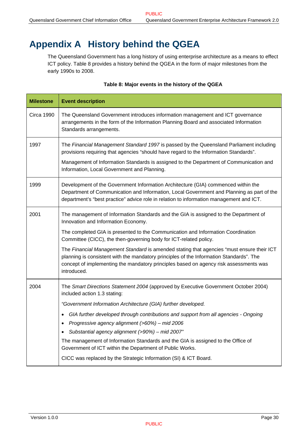## <span id="page-34-1"></span><span id="page-34-0"></span>**Appendix A History behind the QGEA**

The Queensland Government has a long history of using enterprise architecture as a means to effect ICT policy. [Table 8](#page-34-2) provides a history behind the QGEA in the form of major milestones from the early 1990s to 2008.

#### **Table 8: Major events in the history of the QGEA**

<span id="page-34-2"></span>

| <b>Milestone</b> | <b>Event description</b>                                                                                                                                                                                                                                                                                                                                                                                                                                                                                                                                                                                               |
|------------------|------------------------------------------------------------------------------------------------------------------------------------------------------------------------------------------------------------------------------------------------------------------------------------------------------------------------------------------------------------------------------------------------------------------------------------------------------------------------------------------------------------------------------------------------------------------------------------------------------------------------|
| Circa 1990       | The Queensland Government introduces information management and ICT governance<br>arrangements in the form of the Information Planning Board and associated Information<br>Standards arrangements.                                                                                                                                                                                                                                                                                                                                                                                                                     |
| 1997             | The Financial Management Standard 1997 is passed by the Queensland Parliament including<br>provisions requiring that agencies "should have regard to the Information Standards".<br>Management of Information Standards is assigned to the Department of Communication and<br>Information, Local Government and Planning.                                                                                                                                                                                                                                                                                              |
| 1999             | Development of the Government Information Architecture (GIA) commenced within the<br>Department of Communication and Information, Local Government and Planning as part of the<br>department's "best practice" advice role in relation to information management and ICT.                                                                                                                                                                                                                                                                                                                                              |
| 2001             | The management of Information Standards and the GIA is assigned to the Department of<br>Innovation and Information Economy.<br>The completed GIA is presented to the Communication and Information Coordination<br>Committee (CICC), the then-governing body for ICT-related policy.<br>The Financial Management Standard is amended stating that agencies "must ensure their ICT<br>planning is consistent with the mandatory principles of the Information Standards". The<br>concept of implementing the mandatory principles based on agency risk assessments was<br>introduced.                                   |
| 2004             | The Smart Directions Statement 2004 (approved by Executive Government October 2004)<br>included action 1.3 stating:<br>"Government Information Architecture (GIA) further developed.<br>GIA further developed through contributions and support from all agencies - Ongoing<br>٠<br>Progressive agency alignment (>60%) - mid 2006<br>$\bullet$<br>Substantial agency alignment (>90%) - mid 2007"<br>The management of Information Standards and the GIA is assigned to the Office of<br>Government of ICT within the Department of Public Works.<br>CICC was replaced by the Strategic Information (SI) & ICT Board. |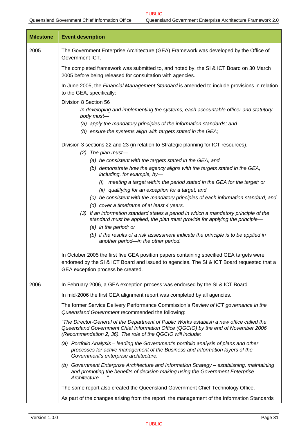| <b>Milestone</b> | <b>Event description</b>                                                                                                                                                                                                                       |  |  |  |  |
|------------------|------------------------------------------------------------------------------------------------------------------------------------------------------------------------------------------------------------------------------------------------|--|--|--|--|
| 2005             | The Government Enterprise Architecture (GEA) Framework was developed by the Office of<br>Government ICT.                                                                                                                                       |  |  |  |  |
|                  | The completed framework was submitted to, and noted by, the SI & ICT Board on 30 March<br>2005 before being released for consultation with agencies.                                                                                           |  |  |  |  |
|                  | In June 2005, the Financial Management Standard is amended to include provisions in relation<br>to the GEA, specifically:                                                                                                                      |  |  |  |  |
|                  | Division 8 Section 56                                                                                                                                                                                                                          |  |  |  |  |
|                  | In developing and implementing the systems, each accountable officer and statutory<br>body must-                                                                                                                                               |  |  |  |  |
|                  | (a) apply the mandatory principles of the information standards; and                                                                                                                                                                           |  |  |  |  |
|                  | (b) ensure the systems align with targets stated in the GEA;                                                                                                                                                                                   |  |  |  |  |
|                  | Division 3 sections 22 and 23 (in relation to Strategic planning for ICT resources).                                                                                                                                                           |  |  |  |  |
|                  | The plan must-<br>(2)                                                                                                                                                                                                                          |  |  |  |  |
|                  | (a) be consistent with the targets stated in the GEA; and<br>(b) demonstrate how the agency aligns with the targets stated in the GEA,                                                                                                         |  |  |  |  |
|                  | including, for example, by-                                                                                                                                                                                                                    |  |  |  |  |
|                  | meeting a target within the period stated in the GEA for the target; or<br>(i)                                                                                                                                                                 |  |  |  |  |
|                  | (ii) qualifying for an exception for a target; and                                                                                                                                                                                             |  |  |  |  |
|                  | (c) be consistent with the mandatory principles of each information standard; and                                                                                                                                                              |  |  |  |  |
|                  | (d) cover a timeframe of at least 4 years.<br>(3) If an information standard states a period in which a mandatory principle of the                                                                                                             |  |  |  |  |
|                  | standard must be applied, the plan must provide for applying the principle-                                                                                                                                                                    |  |  |  |  |
|                  | (a) in the period; or                                                                                                                                                                                                                          |  |  |  |  |
|                  | (b) if the results of a risk assessment indicate the principle is to be applied in<br>another period-in the other period.                                                                                                                      |  |  |  |  |
|                  | In October 2005 the first five GEA position papers containing specified GEA targets were<br>endorsed by the SI & ICT Board and issued to agencies. The SI & ICT Board requested that a<br>GEA exception process be created.                    |  |  |  |  |
|                  |                                                                                                                                                                                                                                                |  |  |  |  |
| 2006             | In February 2006, a GEA exception process was endorsed by the SI & ICT Board.                                                                                                                                                                  |  |  |  |  |
|                  | In mid-2006 the first GEA alignment report was completed by all agencies.                                                                                                                                                                      |  |  |  |  |
|                  | The former Service Delivery Performance Commission's Review of ICT governance in the<br>Queensland Government recommended the following:                                                                                                       |  |  |  |  |
|                  | "The Director-General of the Department of Public Works establish a new office called the<br>Queensland Government Chief Information Office (QGCIO) by the end of November 2006<br>(Recommendation 2, 36). The role of the QGCIO will include: |  |  |  |  |
|                  | (a) Portfolio Analysis – leading the Government's portfolio analysis of plans and other<br>processes for active management of the Business and Information layers of the<br>Government's enterprise architecture.                              |  |  |  |  |
|                  | (b) Government Enterprise Architecture and Information Strategy - establishing, maintaining<br>and promoting the benefits of decision making using the Government Enterprise<br>Architecture"                                                  |  |  |  |  |
|                  | The same report also created the Queensland Government Chief Technology Office.                                                                                                                                                                |  |  |  |  |
|                  | As part of the changes arising from the report, the management of the Information Standards                                                                                                                                                    |  |  |  |  |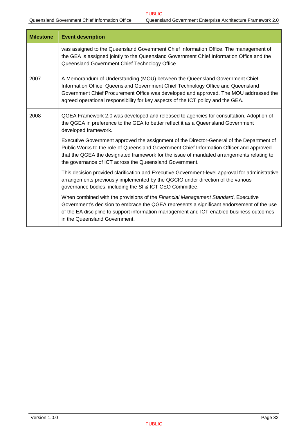| <b>Milestone</b> | <b>Event description</b>                                                                                                                                                                                                                                                                                                                      |
|------------------|-----------------------------------------------------------------------------------------------------------------------------------------------------------------------------------------------------------------------------------------------------------------------------------------------------------------------------------------------|
|                  | was assigned to the Queensland Government Chief Information Office. The management of<br>the GEA is assigned jointly to the Queensland Government Chief Information Office and the<br>Queensland Government Chief Technology Office.                                                                                                          |
| 2007             | A Memorandum of Understanding (MOU) between the Queensland Government Chief<br>Information Office, Queensland Government Chief Technology Office and Queensland<br>Government Chief Procurement Office was developed and approved. The MOU addressed the<br>agreed operational responsibility for key aspects of the ICT policy and the GEA.  |
| 2008             | QGEA Framework 2.0 was developed and released to agencies for consultation. Adoption of<br>the QGEA in preference to the GEA to better reflect it as a Queensland Government<br>developed framework.                                                                                                                                          |
|                  | Executive Government approved the assignment of the Director-General of the Department of<br>Public Works to the role of Queensland Government Chief Information Officer and approved<br>that the QGEA the designated framework for the issue of mandated arrangements relating to<br>the governance of ICT across the Queensland Government. |
|                  | This decision provided clarification and Executive Government-level approval for administrative<br>arrangements previously implemented by the QGCIO under direction of the various<br>governance bodies, including the SI & ICT CEO Committee.                                                                                                |
|                  | When combined with the provisions of the Financial Management Standard, Executive<br>Government's decision to embrace the QGEA represents a significant endorsement of the use<br>of the EA discipline to support information management and ICT-enabled business outcomes<br>in the Queensland Government.                                   |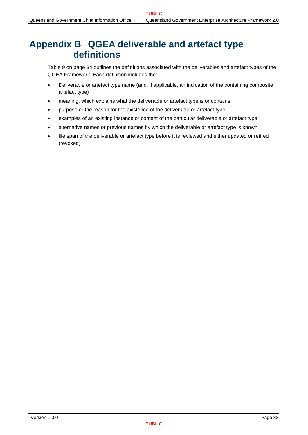## <span id="page-37-0"></span>**Appendix B QGEA deliverable and artefact type definitions**

[Table 9](#page-38-1) on page [34](#page-38-1) outlines the definitions associated with the deliverables and artefact types of the QGEA Framework. Each definition includes the:

- Deliverable or artefact type name (and, if applicable, an indication of the containing composite artefact type)
- meaning, which explains what the deliverable or artefact type is or contains
- purpose or the reason for the existence of the deliverable or artefact type
- examples of an existing instance or content of the particular deliverable or artefact type
- alternative names or previous names by which the deliverable or artefact type is known
- life span of the deliverable or artefact type before it is reviewed and either updated or retired (revoked)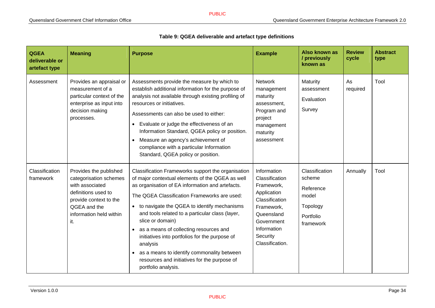**QGEA** 

| Table 9: QGEA deliverable and artefact type definitions |                |                |                                           |                        |                         |  |
|---------------------------------------------------------|----------------|----------------|-------------------------------------------|------------------------|-------------------------|--|
| <b>Meaning</b>                                          | <b>Purpose</b> | <b>Example</b> | Also known as<br>/ previously<br>known as | <b>Review</b><br>cycle | <b>Abstract</b><br>type |  |
|                                                         |                |                |                                           |                        |                         |  |

PUBLIC

<span id="page-38-1"></span><span id="page-38-0"></span>

| deliverable or<br>artefact type |                                                                                                                                                                        |                                                                                                                                                                                                                                                                                                                                                                                                                                                                                                                                                                     |                                                                                                                                                                      | / previously<br>known as                                                             | cycle          | type |
|---------------------------------|------------------------------------------------------------------------------------------------------------------------------------------------------------------------|---------------------------------------------------------------------------------------------------------------------------------------------------------------------------------------------------------------------------------------------------------------------------------------------------------------------------------------------------------------------------------------------------------------------------------------------------------------------------------------------------------------------------------------------------------------------|----------------------------------------------------------------------------------------------------------------------------------------------------------------------|--------------------------------------------------------------------------------------|----------------|------|
| Assessment                      | Provides an appraisal or<br>measurement of a<br>particular context of the<br>enterprise as input into<br>decision making<br>processes.                                 | Assessments provide the measure by which to<br>establish additional information for the purpose of<br>analysis not available through existing profiling of<br>resources or initiatives.<br>Assessments can also be used to either:<br>• Evaluate or judge the effectiveness of an<br>Information Standard, QGEA policy or position.<br>Measure an agency's achievement of<br>compliance with a particular Information<br>Standard, QGEA policy or position.                                                                                                         | <b>Network</b><br>management<br>maturity<br>assessment.<br>Program and<br>project<br>management<br>maturity<br>assessment                                            | Maturity<br>assessment<br>Evaluation<br>Survey                                       | As<br>required | Tool |
| Classification<br>framework     | Provides the published<br>categorisation schemes<br>with associated<br>definitions used to<br>provide context to the<br>QGEA and the<br>information held within<br>it. | Classification Frameworks support the organisation<br>of major contextual elements of the QGEA as well<br>as organisation of EA information and artefacts.<br>The QGEA Classification Frameworks are used:<br>• to navigate the QGEA to identify mechanisms<br>and tools related to a particular class (layer,<br>slice or domain)<br>• as a means of collecting resources and<br>initiatives into portfolios for the purpose of<br>analysis<br>• as a means to identify commonality between<br>resources and initiatives for the purpose of<br>portfolio analysis. | Information<br>Classification<br>Framework,<br>Application<br>Classification<br>Framework,<br>Queensland<br>Government<br>Information<br>Security<br>Classification. | Classification<br>scheme<br>Reference<br>model<br>Topology<br>Portfolio<br>framework | Annually       | Tool |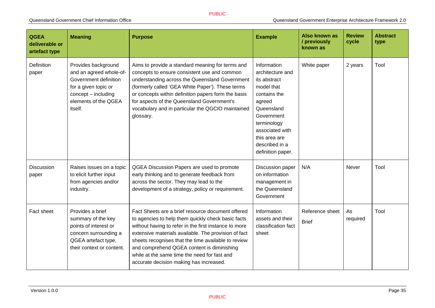| <b>QGEA</b><br>deliverable or<br>artefact type | <b>Meaning</b>                                                                                                                                              | <b>Purpose</b>                                                                                                                                                                                                                                                                                                                                                                                                           | <b>Example</b>                                                                                                                                                                                                | Also known as<br>/ previously<br>known as | <b>Review</b><br>cycle | <b>Abstract</b><br>type |
|------------------------------------------------|-------------------------------------------------------------------------------------------------------------------------------------------------------------|--------------------------------------------------------------------------------------------------------------------------------------------------------------------------------------------------------------------------------------------------------------------------------------------------------------------------------------------------------------------------------------------------------------------------|---------------------------------------------------------------------------------------------------------------------------------------------------------------------------------------------------------------|-------------------------------------------|------------------------|-------------------------|
| Definition<br>paper                            | Provides background<br>and an agreed whole-of-<br>Government definition<br>for a given topic or<br>$concept - including$<br>elements of the QGEA<br>itself. | Aims to provide a standard meaning for terms and<br>concepts to ensure consistent use and common<br>understanding across the Queensland Government<br>(formerly called 'GEA White Paper'). These terms<br>or concepts within definition papers form the basis<br>for aspects of the Queensland Government's<br>vocabulary and in particular the QGCIO maintained<br>glossary.                                            | Information<br>architecture and<br>its abstract<br>model that<br>contains the<br>agreed<br>Queensland<br>Government<br>terminology<br>associated with<br>this area are<br>described in a<br>definition paper. | White paper                               | 2 years                | Tool                    |
| Discussion<br>paper                            | Raises issues on a topic<br>to elicit further input<br>from agencies and/or<br>industry.                                                                    | QGEA Discussion Papers are used to promote<br>early thinking and to generate feedback from<br>across the sector. They may lead to the<br>development of a strategy, policy or requirement.                                                                                                                                                                                                                               | Discussion paper<br>on information<br>management in<br>the Queensland<br>Government                                                                                                                           | N/A                                       | Never                  | Tool                    |
| Fact sheet                                     | Provides a brief<br>summary of the key<br>points of interest or<br>concern surrounding a<br>QGEA artefact type,<br>their context or content.                | Fact Sheets are a brief resource document offered<br>to agencies to help them quickly check basic facts<br>without having to refer in the first instance to more<br>extensive materials available. The provision of fact<br>sheets recognises that the time available to review<br>and comprehend QGEA content is diminishing<br>while at the same time the need for fast and<br>accurate decision making has increased. | Information<br>assets and their<br>classification fact<br>sheet                                                                                                                                               | Reference sheet<br><b>Brief</b>           | As<br>required         | Tool                    |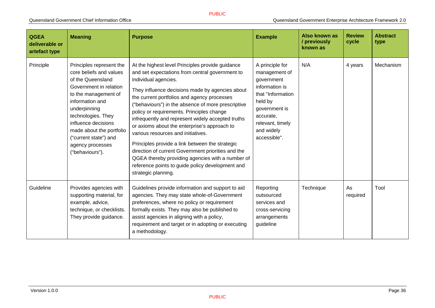| <b>QGEA</b><br>deliverable or<br>artefact type | <b>Meaning</b>                                                                                                                                                                                                                                                                                         | <b>Purpose</b>                                                                                                                                                                                                                                                                                                                                                                                                                                                                                                                                                                                                                                                                                                     | <b>Example</b>                                                                                                                                                                    | Also known as<br>/ previously<br>known as | <b>Review</b><br>cycle | <b>Abstract</b><br>type |
|------------------------------------------------|--------------------------------------------------------------------------------------------------------------------------------------------------------------------------------------------------------------------------------------------------------------------------------------------------------|--------------------------------------------------------------------------------------------------------------------------------------------------------------------------------------------------------------------------------------------------------------------------------------------------------------------------------------------------------------------------------------------------------------------------------------------------------------------------------------------------------------------------------------------------------------------------------------------------------------------------------------------------------------------------------------------------------------------|-----------------------------------------------------------------------------------------------------------------------------------------------------------------------------------|-------------------------------------------|------------------------|-------------------------|
| Principle                                      | Principles represent the<br>core beliefs and values<br>of the Queensland<br>Government in relation<br>to the management of<br>information and<br>underpinning<br>technologies. They<br>influence decisions<br>made about the portfolio<br>("current state") and<br>agency processes<br>("behaviours"). | At the highest level Principles provide guidance<br>and set expectations from central government to<br>individual agencies.<br>They influence decisions made by agencies about<br>the current portfolios and agency processes<br>"behaviours") in the absence of more prescriptive<br>policy or requirements. Principles change<br>infrequently and represent widely accepted truths<br>or axioms about the enterprise's approach to<br>various resources and initiatives.<br>Principles provide a link between the strategic<br>direction of current Government priorities and the<br>QGEA thereby providing agencies with a number of<br>reference points to guide policy development and<br>strategic planning. | A principle for<br>management of<br>government<br>information is<br>that "Information"<br>held by<br>government is<br>accurate,<br>relevant, timely<br>and widely<br>accessible". | N/A                                       | 4 years                | Mechanism               |
| Guideline                                      | Provides agencies with<br>supporting material, for<br>example, advice,<br>technique, or checklists.<br>They provide guidance.                                                                                                                                                                          | Guidelines provide information and support to aid<br>agencies. They may state whole-of-Government<br>preferences, where no policy or requirement<br>formally exists. They may also be published to<br>assist agencies in aligning with a policy,<br>requirement and target or in adopting or executing<br>a methodology.                                                                                                                                                                                                                                                                                                                                                                                           | Reporting<br>outsourced<br>services and<br>cross-servicing<br>arrangements<br>guideline                                                                                           | Technique                                 | As<br>required         | Tool                    |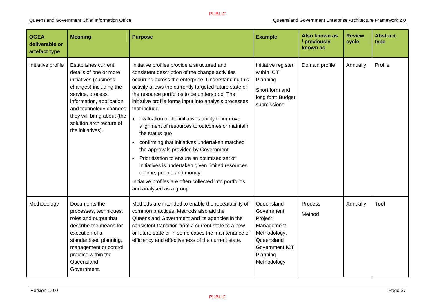| <b>QGEA</b><br>deliverable or<br>artefact type | <b>Meaning</b>                                                                                                                                                                                                                                                    | <b>Purpose</b>                                                                                                                                                                                                                                                                                                                                                                                                                                                                                                                                                                                                                                                                                                                                                                             | <b>Example</b>                                                                                                               | Also known as<br>/ previously<br>known as | <b>Review</b><br>cycle | <b>Abstract</b><br>type |
|------------------------------------------------|-------------------------------------------------------------------------------------------------------------------------------------------------------------------------------------------------------------------------------------------------------------------|--------------------------------------------------------------------------------------------------------------------------------------------------------------------------------------------------------------------------------------------------------------------------------------------------------------------------------------------------------------------------------------------------------------------------------------------------------------------------------------------------------------------------------------------------------------------------------------------------------------------------------------------------------------------------------------------------------------------------------------------------------------------------------------------|------------------------------------------------------------------------------------------------------------------------------|-------------------------------------------|------------------------|-------------------------|
| Initiative profile                             | <b>Establishes current</b><br>details of one or more<br>initiatives (business<br>changes) including the<br>service, process,<br>information, application<br>and technology changes<br>they will bring about (the<br>solution architecture of<br>the initiatives). | Initiative profiles provide a structured and<br>consistent description of the change activities<br>occurring across the enterprise. Understanding this<br>activity allows the currently targeted future state of<br>the resource portfolios to be understood. The<br>initiative profile forms input into analysis processes<br>that include:<br>• evaluation of the initiatives ability to improve<br>alignment of resources to outcomes or maintain<br>the status quo<br>confirming that initiatives undertaken matched<br>the approvals provided by Government<br>Prioritisation to ensure an optimised set of<br>initiatives is undertaken given limited resources<br>of time, people and money.<br>Initiative profiles are often collected into portfolios<br>and analysed as a group. | Initiative register<br>within ICT<br>Planning<br>Short form and<br>long form Budget<br>submissions                           | Domain profile                            | Annually               | Profile                 |
| Methodology                                    | Documents the<br>processes, techniques,<br>roles and output that<br>describe the means for<br>execution of a<br>standardised planning,<br>management or control<br>practice within the<br>Queensland<br>Government.                                               | Methods are intended to enable the repeatability of<br>common practices. Methods also aid the<br>Queensland Government and its agencies in the<br>consistent transition from a current state to a new<br>or future state or in some cases the maintenance of<br>efficiency and effectiveness of the current state.                                                                                                                                                                                                                                                                                                                                                                                                                                                                         | Queensland<br>Government<br>Project<br>Management<br>Methodology,<br>Queensland<br>Government ICT<br>Planning<br>Methodology | Process<br>Method                         | Annually               | Tool                    |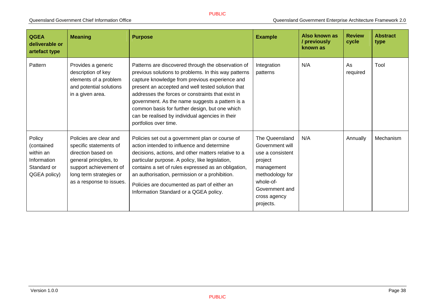| <b>QGEA</b><br>deliverable or<br>artefact type                                  | <b>Meaning</b>                                                                                                                                                                    | <b>Purpose</b>                                                                                                                                                                                                                                                                                                                                                                                                                                          | <b>Example</b>                                                                                                                                                | Also known as<br>/ previously<br>known as | <b>Review</b><br>cycle | <b>Abstract</b><br>type |
|---------------------------------------------------------------------------------|-----------------------------------------------------------------------------------------------------------------------------------------------------------------------------------|---------------------------------------------------------------------------------------------------------------------------------------------------------------------------------------------------------------------------------------------------------------------------------------------------------------------------------------------------------------------------------------------------------------------------------------------------------|---------------------------------------------------------------------------------------------------------------------------------------------------------------|-------------------------------------------|------------------------|-------------------------|
| Pattern                                                                         | Provides a generic<br>description of key<br>elements of a problem<br>and potential solutions<br>in a given area.                                                                  | Patterns are discovered through the observation of<br>previous solutions to problems. In this way patterns<br>capture knowledge from previous experience and<br>present an accepted and well tested solution that<br>addresses the forces or constraints that exist in<br>government. As the name suggests a pattern is a<br>common basis for further design, but one which<br>can be realised by individual agencies in their<br>portfolios over time. | Integration<br>patterns                                                                                                                                       | N/A                                       | As<br>required         | Tool                    |
| Policy<br>(contained<br>within an<br>Information<br>Standard or<br>QGEA policy) | Policies are clear and<br>specific statements of<br>direction based on<br>general principles, to<br>support achievement of<br>long term strategies or<br>as a response to issues. | Policies set out a government plan or course of<br>action intended to influence and determine<br>decisions, actions, and other matters relative to a<br>particular purpose. A policy, like legislation,<br>contains a set of rules expressed as an obligation,<br>an authorisation, permission or a prohibition.<br>Policies are documented as part of either an<br>Information Standard or a QGEA policy.                                              | The Queensland<br>Government will<br>use a consistent<br>project<br>management<br>methodology for<br>whole-of-<br>Government and<br>cross agency<br>projects. | N/A                                       | Annually               | Mechanism               |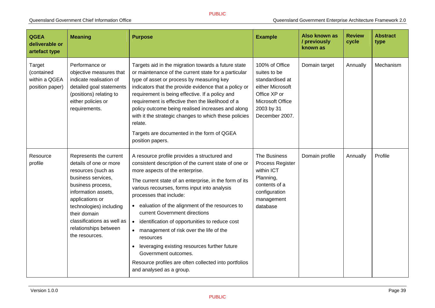| <b>QGEA</b><br>deliverable or<br>artefact type                  | <b>Meaning</b>                                                                                                                                                                                                                                                                  | <b>Purpose</b>                                                                                                                                                                                                                                                                                                                                                                                                                                                                                                                                                                                                                                                      | <b>Example</b>                                                                                                                            | <b>Also known as</b><br>/ previously<br>known as | <b>Review</b><br>cycle | <b>Abstract</b><br>type |
|-----------------------------------------------------------------|---------------------------------------------------------------------------------------------------------------------------------------------------------------------------------------------------------------------------------------------------------------------------------|---------------------------------------------------------------------------------------------------------------------------------------------------------------------------------------------------------------------------------------------------------------------------------------------------------------------------------------------------------------------------------------------------------------------------------------------------------------------------------------------------------------------------------------------------------------------------------------------------------------------------------------------------------------------|-------------------------------------------------------------------------------------------------------------------------------------------|--------------------------------------------------|------------------------|-------------------------|
| <b>Target</b><br>(contained<br>within a QGEA<br>position paper) | Performance or<br>objective measures that<br>indicate realisation of<br>detailed goal statements<br>(positions) relating to<br>either policies or<br>requirements.                                                                                                              | Targets aid in the migration towards a future state<br>or maintenance of the current state for a particular<br>type of asset or process by measuring key<br>indicators that the provide evidence that a policy or<br>requirement is being effective. If a policy and<br>requirement is effective then the likelihood of a<br>policy outcome being realised increases and along<br>with it the strategic changes to which these policies<br>relate.<br>Targets are documented in the form of QGEA<br>position papers.                                                                                                                                                | 100% of Office<br>suites to be<br>standardised at<br>either Microsoft<br>Office XP or<br>Microsoft Office<br>2003 by 31<br>December 2007. | Domain target                                    | Annually               | Mechanism               |
| Resource<br>profile                                             | Represents the current<br>details of one or more<br>resources (such as<br>business services,<br>business process,<br>information assets,<br>applications or<br>technologies) including<br>their domain<br>classifications as well as<br>relationships between<br>the resources. | A resource profile provides a structured and<br>consistent description of the current state of one or<br>more aspects of the enterprise.<br>The current state of an enterprise, in the form of its<br>various recourses, forms input into analysis<br>processes that include:<br>• ealuation of the alignment of the resources to<br>current Government directions<br>identification of opportunities to reduce cost<br>$\bullet$<br>management of risk over the life of the<br>$\bullet$<br>resources<br>leveraging existing resources further future<br>Government outcomes.<br>Resource profiles are often collected into portfolios<br>and analysed as a group. | The Business<br>Process Register<br>within ICT<br>Planning,<br>contents of a<br>configuration<br>management<br>database                   | Domain profile                                   | Annually               | Profile                 |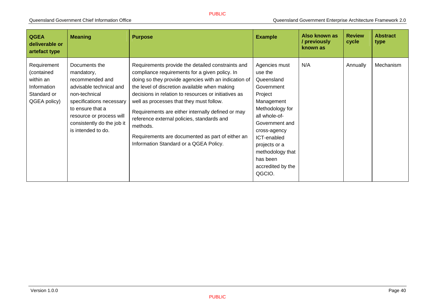| <b>QGEA</b><br>deliverable or<br>artefact type                                       | <b>Meaning</b>                                                                                                                                                                                                             | <b>Purpose</b>                                                                                                                                                                                                                                                                                                                                                                                                                                                                                                                | <b>Example</b>                                                                                                                                                                                                                                     | Also known as<br>/ previously<br>known as | <b>Review</b><br>cycle | <b>Abstract</b><br>type |
|--------------------------------------------------------------------------------------|----------------------------------------------------------------------------------------------------------------------------------------------------------------------------------------------------------------------------|-------------------------------------------------------------------------------------------------------------------------------------------------------------------------------------------------------------------------------------------------------------------------------------------------------------------------------------------------------------------------------------------------------------------------------------------------------------------------------------------------------------------------------|----------------------------------------------------------------------------------------------------------------------------------------------------------------------------------------------------------------------------------------------------|-------------------------------------------|------------------------|-------------------------|
| Requirement<br>(contained<br>within an<br>Information<br>Standard or<br>QGEA policy) | Documents the<br>mandatory,<br>recommended and<br>advisable technical and<br>non-technical<br>specifications necessary<br>to ensure that a<br>resource or process will<br>consistently do the job it<br>is intended to do. | Requirements provide the detailed constraints and<br>compliance requirements for a given policy. In<br>doing so they provide agencies with an indication of<br>the level of discretion available when making<br>decisions in relation to resources or initiatives as<br>well as processes that they must follow.<br>Requirements are either internally defined or may<br>reference external policies, standards and<br>methods.<br>Requirements are documented as part of either an<br>Information Standard or a QGEA Policy. | Agencies must<br>use the<br>Queensland<br>Government<br>Project<br>Management<br>Methodology for<br>all whole-of-<br>Government and<br>cross-agency<br>ICT-enabled<br>projects or a<br>methodology that<br>has been<br>accredited by the<br>QGCIO. | N/A                                       | Annually               | Mechanism               |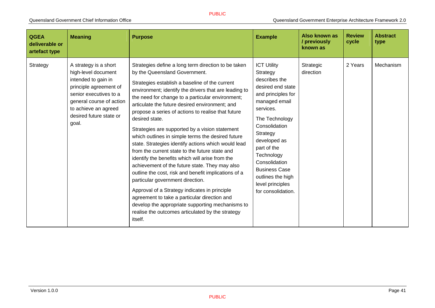| <b>QGEA</b><br>deliverable or<br>artefact type | <b>Meaning</b>                                                                                                                                                                                                  | <b>Purpose</b>                                                                                                                                                                                                                                                                                                                                                                                                                                                                                                                                                                                                                                                                                                                                                                                                                                                                                                                                                                                                     | <b>Example</b>                                                                                                                                                                                                                                                                                                               | Also known as<br>/ previously<br>known as | <b>Review</b><br>cycle | <b>Abstract</b><br>type |
|------------------------------------------------|-----------------------------------------------------------------------------------------------------------------------------------------------------------------------------------------------------------------|--------------------------------------------------------------------------------------------------------------------------------------------------------------------------------------------------------------------------------------------------------------------------------------------------------------------------------------------------------------------------------------------------------------------------------------------------------------------------------------------------------------------------------------------------------------------------------------------------------------------------------------------------------------------------------------------------------------------------------------------------------------------------------------------------------------------------------------------------------------------------------------------------------------------------------------------------------------------------------------------------------------------|------------------------------------------------------------------------------------------------------------------------------------------------------------------------------------------------------------------------------------------------------------------------------------------------------------------------------|-------------------------------------------|------------------------|-------------------------|
| Strategy                                       | A strategy is a short<br>high-level document<br>intended to gain in<br>principle agreement of<br>senior executives to a<br>general course of action<br>to achieve an agreed<br>desired future state or<br>goal. | Strategies define a long term direction to be taken<br>by the Queensland Government.<br>Strategies establish a baseline of the current<br>environment; identify the drivers that are leading to<br>the need for change to a particular environment;<br>articulate the future desired environment; and<br>propose a series of actions to realise that future<br>desired state.<br>Strategies are supported by a vision statement<br>which outlines in simple terms the desired future<br>state. Strategies identify actions which would lead<br>from the current state to the future state and<br>identify the benefits which will arise from the<br>achievement of the future state. They may also<br>outline the cost, risk and benefit implications of a<br>particular government direction.<br>Approval of a Strategy indicates in principle<br>agreement to take a particular direction and<br>develop the appropriate supporting mechanisms to<br>realise the outcomes articulated by the strategy<br>itself. | <b>ICT Utility</b><br>Strategy<br>describes the<br>desired end state<br>and principles for<br>managed email<br>services.<br>The Technology<br>Consolidation<br>Strategy<br>developed as<br>part of the<br>Technology<br>Consolidation<br><b>Business Case</b><br>outlines the high<br>level principles<br>for consolidation. | Strategic<br>direction                    | 2 Years                | Mechanism               |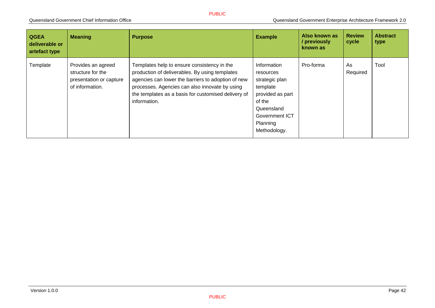| <b>QGEA</b><br>deliverable or<br>artefact type | <b>Meaning</b>                                                                        | <b>Purpose</b>                                                                                                                                                                                                                                                               | <b>Example</b>                                                                                                                                   | Also known as<br>/ previously<br>known as | <b>Review</b><br>cycle | <b>Abstract</b><br>type |
|------------------------------------------------|---------------------------------------------------------------------------------------|------------------------------------------------------------------------------------------------------------------------------------------------------------------------------------------------------------------------------------------------------------------------------|--------------------------------------------------------------------------------------------------------------------------------------------------|-------------------------------------------|------------------------|-------------------------|
| Template                                       | Provides an agreed<br>structure for the<br>presentation or capture<br>of information. | Templates help to ensure consistency in the<br>production of deliverables. By using templates<br>agencies can lower the barriers to adoption of new<br>processes. Agencies can also innovate by using<br>the templates as a basis for customised delivery of<br>information. | Information<br>resources<br>strategic plan<br>template<br>provided as part<br>of the<br>Queensland<br>Government ICT<br>Planning<br>Methodology. | Pro-forma                                 | As<br>Required         | Tool                    |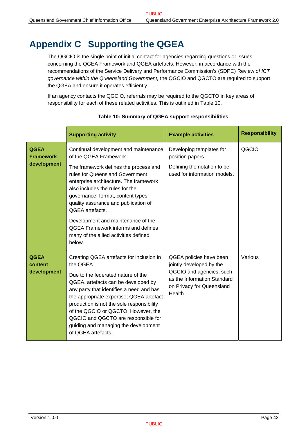## <span id="page-47-1"></span><span id="page-47-0"></span>**Appendix C Supporting the QGEA**

The QGCIO is the single point of initial contact for agencies regarding questions or issues concerning the QGEA Framework and QGEA artefacts. However, in accordance with the recommendations of the Service Delivery and Performance Commission's (SDPC) Review *of ICT governance within the Queensland Government,* the QGCIO and QGCTO are required to support the QGEA and ensure it operates efficiently.

If an agency contacts the QGCIO, referrals may be required to the QGCTO in key areas of responsibility for each of these related activities. This is outlined in [Table 10](#page-47-2).

<span id="page-47-2"></span>

|                                                | <b>Supporting activity</b>                                                                                                                                                                                                                                                                                                                                                                                          | <b>Example activities</b>                                                                                                                              | <b>Responsibility</b> |
|------------------------------------------------|---------------------------------------------------------------------------------------------------------------------------------------------------------------------------------------------------------------------------------------------------------------------------------------------------------------------------------------------------------------------------------------------------------------------|--------------------------------------------------------------------------------------------------------------------------------------------------------|-----------------------|
| <b>QGEA</b><br><b>Framework</b><br>development | Continual development and maintenance<br>of the QGEA Framework.                                                                                                                                                                                                                                                                                                                                                     | Developing templates for<br>position papers.                                                                                                           | QGCIO                 |
|                                                | The framework defines the process and<br>rules for Queensland Government<br>enterprise architecture. The framework<br>also includes the rules for the<br>governance, format, content types,<br>quality assurance and publication of<br>QGEA artefacts.                                                                                                                                                              | Defining the notation to be<br>used for information models.                                                                                            |                       |
|                                                | Development and maintenance of the<br><b>QGEA Framework informs and defines</b><br>many of the allied activities defined<br>below.                                                                                                                                                                                                                                                                                  |                                                                                                                                                        |                       |
| <b>QGEA</b><br>content<br>development          | Creating QGEA artefacts for inclusion in<br>the QGEA.<br>Due to the federated nature of the<br>QGEA, artefacts can be developed by<br>any party that identifies a need and has<br>the appropriate expertise; QGEA artefact<br>production is not the sole responsibility<br>of the QGCIO or QGCTO. However, the<br>QGCIO and QGCTO are responsible for<br>guiding and managing the development<br>of QGEA artefacts. | QGEA policies have been<br>jointly developed by the<br>QGCIO and agencies, such<br>as the Information Standard<br>on Privacy for Queensland<br>Health. | Various               |

#### **Table 10: Summary of QGEA support responsibilities**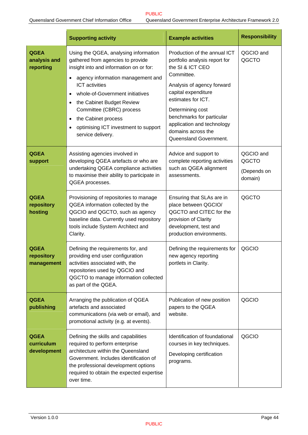|                                          | <b>Supporting activity</b><br><b>Example activities</b>                                                                                                                                                                                                                                                                                                                                       |                                                                                                                                                                                                                                                                                                           | <b>Responsibility</b>                        |  |
|------------------------------------------|-----------------------------------------------------------------------------------------------------------------------------------------------------------------------------------------------------------------------------------------------------------------------------------------------------------------------------------------------------------------------------------------------|-----------------------------------------------------------------------------------------------------------------------------------------------------------------------------------------------------------------------------------------------------------------------------------------------------------|----------------------------------------------|--|
| <b>QGEA</b><br>analysis and<br>reporting | Using the QGEA, analysing information<br>gathered from agencies to provide<br>insight into and information on or for:<br>agency information management and<br><b>ICT</b> activities<br>whole-of-Government initiatives<br>$\bullet$<br>the Cabinet Budget Review<br>Committee (CBRC) process<br>the Cabinet process<br>$\bullet$<br>optimising ICT investment to support<br>service delivery. | Production of the annual ICT<br>portfolio analysis report for<br>the SI & ICT CEO<br>Committee.<br>Analysis of agency forward<br>capital expenditure<br>estimates for ICT.<br>Determining cost<br>benchmarks for particular<br>application and technology<br>domains across the<br>Queensland Government. | QGCIO and<br>QGCTO                           |  |
| <b>QGEA</b><br>support                   | Assisting agencies involved in<br>developing QGEA artefacts or who are<br>undertaking QGEA compliance activities<br>to maximise their ability to participate in<br>QGEA processes.                                                                                                                                                                                                            | Advice and support to<br>complete reporting activities<br>such as QGEA alignment<br>assessments.                                                                                                                                                                                                          | QGCIO and<br>QGCTO<br>(Depends on<br>domain) |  |
| <b>QGEA</b><br>repository<br>hosting     | Provisioning of repositories to manage<br>QGEA information collected by the<br>QGCIO and QGCTO, such as agency<br>baseline data. Currently used repository<br>tools include System Architect and<br>Clarity.                                                                                                                                                                                  | Ensuring that SLAs are in<br>place between QGCIO/<br>QGCTO and CITEC for the<br>provision of Clarity<br>development, test and<br>production environments.                                                                                                                                                 | QGCTO                                        |  |
| <b>QGEA</b><br>repository<br>management  | Defining the requirements for, and<br>providing end user configuration<br>activities associated with, the<br>repositories used by QGCIO and<br>QGCTO to manage information collected<br>as part of the QGEA.                                                                                                                                                                                  | Defining the requirements for<br>new agency reporting<br>portlets in Clarity.                                                                                                                                                                                                                             | QGCIO                                        |  |
| <b>QGEA</b><br>publishing                | Arranging the publication of QGEA<br>artefacts and associated<br>communications (via web or email), and<br>promotional activity (e.g. at events).                                                                                                                                                                                                                                             | Publication of new position<br>papers to the QGEA<br>website.                                                                                                                                                                                                                                             | QGCIO                                        |  |
| <b>QGEA</b><br>curriculum<br>development | Defining the skills and capabilities<br>required to perform enterprise<br>architecture within the Queensland<br>Government. Includes identification of<br>the professional development options<br>required to obtain the expected expertise<br>over time.                                                                                                                                     | Identification of foundational<br>courses in key techniques.<br>Developing certification<br>programs.                                                                                                                                                                                                     | QGCIO                                        |  |